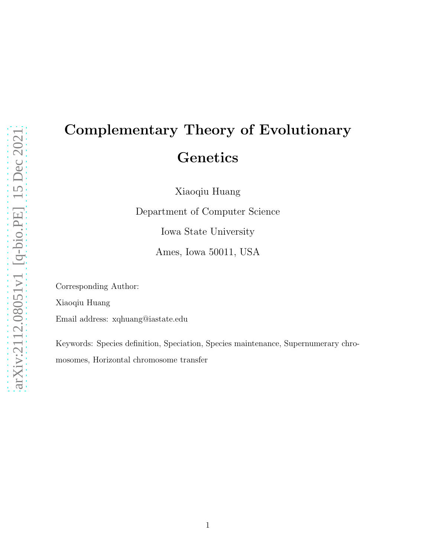# Complementary Theory of Evolutionary **Genetics**

Xiaoqiu Huang

Department of Computer Science Iowa State University

Ames, Iowa 50011, USA

Corresponding Author: Xiaoqiu Huang

Email address: xqhuang@iastate.edu

Keywords: Species definition, Speciation, Species maintenance, Supernumerary chromosomes, Horizontal chromosome transfer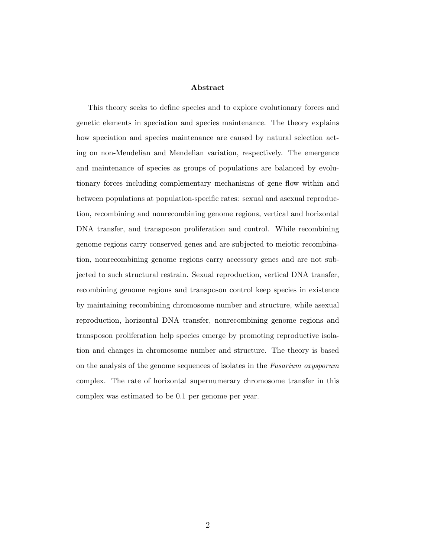#### Abstract

This theory seeks to define species and to explore evolutionary forces and genetic elements in speciation and species maintenance. The theory explains how speciation and species maintenance are caused by natural selection acting on non-Mendelian and Mendelian variation, respectively. The emergence and maintenance of species as groups of populations are balanced by evolutionary forces including complementary mechanisms of gene flow within and between populations at population-specific rates: sexual and asexual reproduction, recombining and nonrecombining genome regions, vertical and horizontal DNA transfer, and transposon proliferation and control. While recombining genome regions carry conserved genes and are subjected to meiotic recombination, nonrecombining genome regions carry accessory genes and are not subjected to such structural restrain. Sexual reproduction, vertical DNA transfer, recombining genome regions and transposon control keep species in existence by maintaining recombining chromosome number and structure, while asexual reproduction, horizontal DNA transfer, nonrecombining genome regions and transposon proliferation help species emerge by promoting reproductive isolation and changes in chromosome number and structure. The theory is based on the analysis of the genome sequences of isolates in the Fusarium oxysporum complex. The rate of horizontal supernumerary chromosome transfer in this complex was estimated to be 0.1 per genome per year.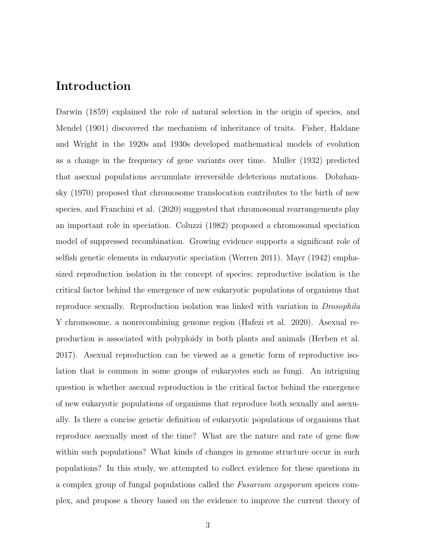### Introduction

Darwin (1859) explained the role of natural selection in the origin of species, and Mendel (1901) discovered the mechanism of inheritance of traits. Fisher, Haldane and Wright in the 1920s and 1930s developed mathematical models of evolution as a change in the frequency of gene variants over time. Muller (1932) predicted that asexual populations accumulate irreversible deleterious mutations. Dobzhansky (1970) proposed that chromosome translocation contributes to the birth of new species, and Franchini et al. (2020) suggested that chromosomal rearrangements play an important role in speciation. Coluzzi (1982) proposed a chromosomal speciation model of suppressed recombination. Growing evidence supports a significant role of selfish genetic elements in eukaryotic speciation (Werren 2011). Mayr (1942) emphasized reproduction isolation in the concept of species; reproductive isolation is the critical factor behind the emergence of new eukaryotic populations of organisms that reproduce sexually. Reproduction isolation was linked with variation in *Drosophila* Y chromosome, a nonrecombining genome region (Hafezi et al. 2020). Asexual reproduction is associated with polyploidy in both plants and animals (Herben et al. 2017). Asexual reproduction can be viewed as a genetic form of reproductive isolation that is common in some groups of eukaryotes such as fungi. An intriguing question is whether asexual reproduction is the critical factor behind the emergence of new eukaryotic populations of organisms that reproduce both sexually and asexually. Is there a concise genetic definition of eukaryotic populations of organisms that reproduce asexually most of the time? What are the nature and rate of gene flow within such populations? What kinds of changes in genome structure occur in such populations? In this study, we attempted to collect evidence for these questions in a complex group of fungal populations called the *Fusarium oxysporum* speices complex, and propose a theory based on the evidence to improve the current theory of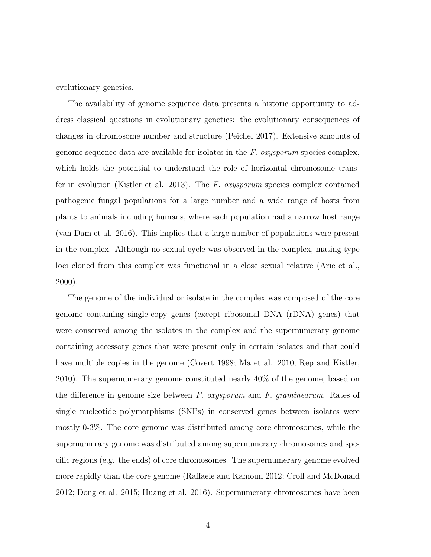evolutionary genetics.

The availability of genome sequence data presents a historic opportunity to address classical questions in evolutionary genetics: the evolutionary consequences of changes in chromosome number and structure (Peichel 2017). Extensive amounts of genome sequence data are available for isolates in the *F. oxysporum* species complex, which holds the potential to understand the role of horizontal chromosome transfer in evolution (Kistler et al. 2013). The *F. oxysporum* species complex contained pathogenic fungal populations for a large number and a wide range of hosts from plants to animals including humans, where each population had a narrow host range (van Dam et al. 2016). This implies that a large number of populations were present in the complex. Although no sexual cycle was observed in the complex, mating-type loci cloned from this complex was functional in a close sexual relative (Arie et al., 2000).

The genome of the individual or isolate in the complex was composed of the core genome containing single-copy genes (except ribosomal DNA (rDNA) genes) that were conserved among the isolates in the complex and the supernumerary genome containing accessory genes that were present only in certain isolates and that could have multiple copies in the genome (Covert 1998; Ma et al. 2010; Rep and Kistler, 2010). The supernumerary genome constituted nearly 40% of the genome, based on the difference in genome size between *F. oxysporum* and *F. graminearum*. Rates of single nucleotide polymorphisms (SNPs) in conserved genes between isolates were mostly 0-3%. The core genome was distributed among core chromosomes, while the supernumerary genome was distributed among supernumerary chromosomes and specific regions (e.g. the ends) of core chromosomes. The supernumerary genome evolved more rapidly than the core genome (Raffaele and Kamoun 2012; Croll and McDonald 2012; Dong et al. 2015; Huang et al. 2016). Supernumerary chromosomes have been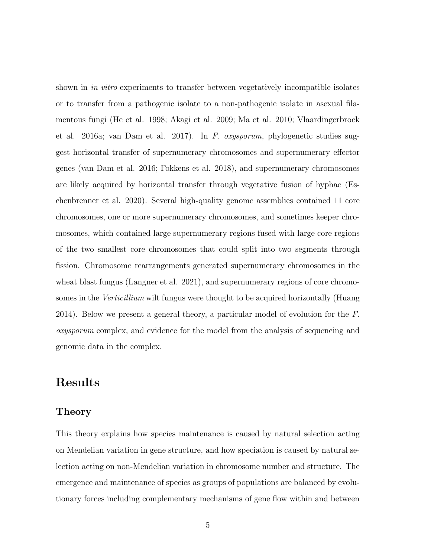shown in *in vitro* experiments to transfer between vegetatively incompatible isolates or to transfer from a pathogenic isolate to a non-pathogenic isolate in asexual filamentous fungi (He et al. 1998; Akagi et al. 2009; Ma et al. 2010; Vlaardingerbroek et al. 2016a; van Dam et al. 2017). In *F. oxysporum*, phylogenetic studies suggest horizontal transfer of supernumerary chromosomes and supernumerary effector genes (van Dam et al. 2016; Fokkens et al. 2018), and supernumerary chromosomes are likely acquired by horizontal transfer through vegetative fusion of hyphae (Eschenbrenner et al. 2020). Several high-quality genome assemblies contained 11 core chromosomes, one or more supernumerary chromosomes, and sometimes keeper chromosomes, which contained large supernumerary regions fused with large core regions of the two smallest core chromosomes that could split into two segments through fission. Chromosome rearrangements generated supernumerary chromosomes in the wheat blast fungus (Langner et al. 2021), and supernumerary regions of core chromosomes in the *Verticillium* wilt fungus were thought to be acquired horizontally (Huang 2014). Below we present a general theory, a particular model of evolution for the *F. oxysporum* complex, and evidence for the model from the analysis of sequencing and genomic data in the complex.

## Results

#### Theory

This theory explains how species maintenance is caused by natural selection acting on Mendelian variation in gene structure, and how speciation is caused by natural selection acting on non-Mendelian variation in chromosome number and structure. The emergence and maintenance of species as groups of populations are balanced by evolutionary forces including complementary mechanisms of gene flow within and between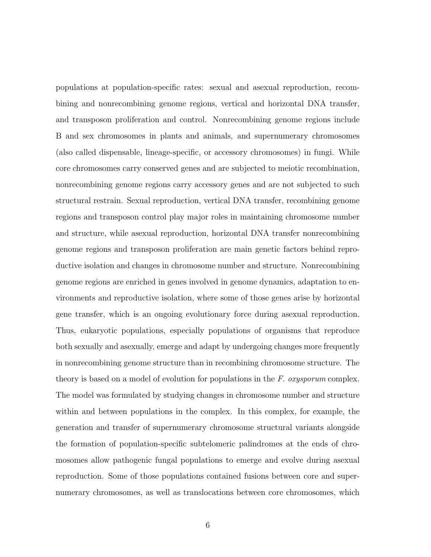populations at population-specific rates: sexual and asexual reproduction, recombining and nonrecombining genome regions, vertical and horizontal DNA transfer, and transposon proliferation and control. Nonrecombining genome regions include B and sex chromosomes in plants and animals, and supernumerary chromosomes (also called dispensable, lineage-specific, or accessory chromosomes) in fungi. While core chromosomes carry conserved genes and are subjected to meiotic recombination, nonrecombining genome regions carry accessory genes and are not subjected to such structural restrain. Sexual reproduction, vertical DNA transfer, recombining genome regions and transposon control play major roles in maintaining chromosome number and structure, while asexual reproduction, horizontal DNA transfer nonrecombining genome regions and transposon proliferation are main genetic factors behind reproductive isolation and changes in chromosome number and structure. Nonrecombining genome regions are enriched in genes involved in genome dynamics, adaptation to environments and reproductive isolation, where some of those genes arise by horizontal gene transfer, which is an ongoing evolutionary force during asexual reproduction. Thus, eukaryotic populations, especially populations of organisms that reproduce both sexually and asexually, emerge and adapt by undergoing changes more frequently in nonrecombining genome structure than in recombining chromosome structure. The theory is based on a model of evolution for populations in the *F. oxysporum* complex. The model was formulated by studying changes in chromosome number and structure within and between populations in the complex. In this complex, for example, the generation and transfer of supernumerary chromosome structural variants alongside the formation of population-specific subtelomeric palindromes at the ends of chromosomes allow pathogenic fungal populations to emerge and evolve during asexual reproduction. Some of those populations contained fusions between core and supernumerary chromosomes, as well as translocations between core chromosomes, which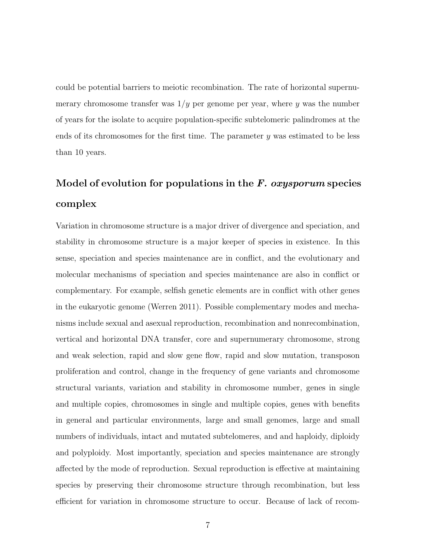could be potential barriers to meiotic recombination. The rate of horizontal supernumerary chromosome transfer was  $1/y$  per genome per year, where y was the number of years for the isolate to acquire population-specific subtelomeric palindromes at the ends of its chromosomes for the first time. The parameter  $\eta$  was estimated to be less than 10 years.

# Model of evolution for populations in the  $F$ . oxysporum species complex

Variation in chromosome structure is a major driver of divergence and speciation, and stability in chromosome structure is a major keeper of species in existence. In this sense, speciation and species maintenance are in conflict, and the evolutionary and molecular mechanisms of speciation and species maintenance are also in conflict or complementary. For example, selfish genetic elements are in conflict with other genes in the eukaryotic genome (Werren 2011). Possible complementary modes and mechanisms include sexual and asexual reproduction, recombination and nonrecombination, vertical and horizontal DNA transfer, core and supernumerary chromosome, strong and weak selection, rapid and slow gene flow, rapid and slow mutation, transposon proliferation and control, change in the frequency of gene variants and chromosome structural variants, variation and stability in chromosome number, genes in single and multiple copies, chromosomes in single and multiple copies, genes with benefits in general and particular environments, large and small genomes, large and small numbers of individuals, intact and mutated subtelomeres, and and haploidy, diploidy and polyploidy. Most importantly, speciation and species maintenance are strongly affected by the mode of reproduction. Sexual reproduction is effective at maintaining species by preserving their chromosome structure through recombination, but less efficient for variation in chromosome structure to occur. Because of lack of recom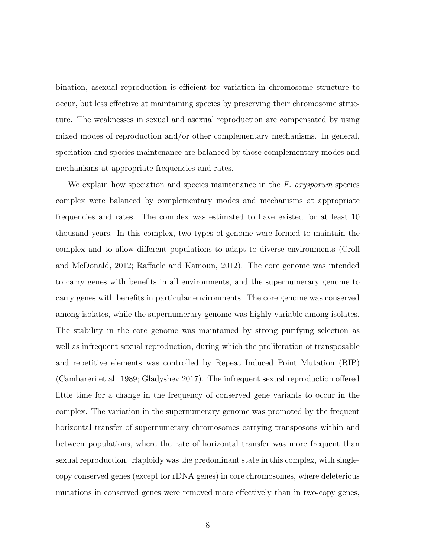bination, asexual reproduction is efficient for variation in chromosome structure to occur, but less effective at maintaining species by preserving their chromosome structure. The weaknesses in sexual and asexual reproduction are compensated by using mixed modes of reproduction and/or other complementary mechanisms. In general, speciation and species maintenance are balanced by those complementary modes and mechanisms at appropriate frequencies and rates.

We explain how speciation and species maintenance in the *F. oxysporum* species complex were balanced by complementary modes and mechanisms at appropriate frequencies and rates. The complex was estimated to have existed for at least 10 thousand years. In this complex, two types of genome were formed to maintain the complex and to allow different populations to adapt to diverse environments (Croll and McDonald, 2012; Raffaele and Kamoun, 2012). The core genome was intended to carry genes with benefits in all environments, and the supernumerary genome to carry genes with benefits in particular environments. The core genome was conserved among isolates, while the supernumerary genome was highly variable among isolates. The stability in the core genome was maintained by strong purifying selection as well as infrequent sexual reproduction, during which the proliferation of transposable and repetitive elements was controlled by Repeat Induced Point Mutation (RIP) (Cambareri et al. 1989; Gladyshev 2017). The infrequent sexual reproduction offered little time for a change in the frequency of conserved gene variants to occur in the complex. The variation in the supernumerary genome was promoted by the frequent horizontal transfer of supernumerary chromosomes carrying transposons within and between populations, where the rate of horizontal transfer was more frequent than sexual reproduction. Haploidy was the predominant state in this complex, with singlecopy conserved genes (except for rDNA genes) in core chromosomes, where deleterious mutations in conserved genes were removed more effectively than in two-copy genes,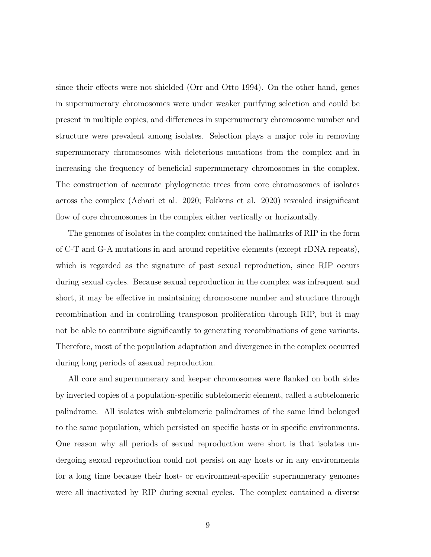since their effects were not shielded (Orr and Otto 1994). On the other hand, genes in supernumerary chromosomes were under weaker purifying selection and could be present in multiple copies, and differences in supernumerary chromosome number and structure were prevalent among isolates. Selection plays a major role in removing supernumerary chromosomes with deleterious mutations from the complex and in increasing the frequency of beneficial supernumerary chromosomes in the complex. The construction of accurate phylogenetic trees from core chromosomes of isolates across the complex (Achari et al. 2020; Fokkens et al. 2020) revealed insignificant flow of core chromosomes in the complex either vertically or horizontally.

The genomes of isolates in the complex contained the hallmarks of RIP in the form of C-T and G-A mutations in and around repetitive elements (except rDNA repeats), which is regarded as the signature of past sexual reproduction, since RIP occurs during sexual cycles. Because sexual reproduction in the complex was infrequent and short, it may be effective in maintaining chromosome number and structure through recombination and in controlling transposon proliferation through RIP, but it may not be able to contribute significantly to generating recombinations of gene variants. Therefore, most of the population adaptation and divergence in the complex occurred during long periods of asexual reproduction.

All core and supernumerary and keeper chromosomes were flanked on both sides by inverted copies of a population-specific subtelomeric element, called a subtelomeric palindrome. All isolates with subtelomeric palindromes of the same kind belonged to the same population, which persisted on specific hosts or in specific environments. One reason why all periods of sexual reproduction were short is that isolates undergoing sexual reproduction could not persist on any hosts or in any environments for a long time because their host- or environment-specific supernumerary genomes were all inactivated by RIP during sexual cycles. The complex contained a diverse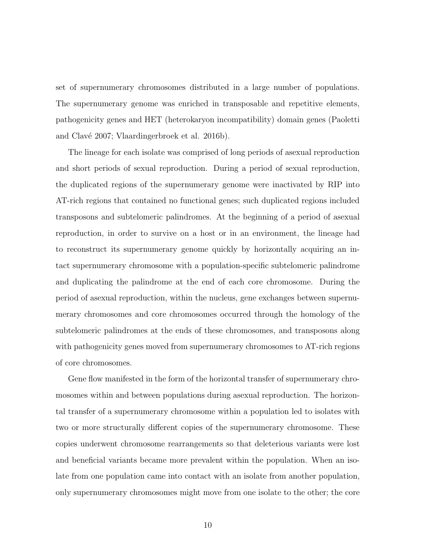set of supernumerary chromosomes distributed in a large number of populations. The supernumerary genome was enriched in transposable and repetitive elements, pathogenicity genes and HET (heterokaryon incompatibility) domain genes (Paoletti and Clavé 2007; Vlaardingerbroek et al. 2016b).

The lineage for each isolate was comprised of long periods of asexual reproduction and short periods of sexual reproduction. During a period of sexual reproduction, the duplicated regions of the supernumerary genome were inactivated by RIP into AT-rich regions that contained no functional genes; such duplicated regions included transposons and subtelomeric palindromes. At the beginning of a period of asexual reproduction, in order to survive on a host or in an environment, the lineage had to reconstruct its supernumerary genome quickly by horizontally acquiring an intact supernumerary chromosome with a population-specific subtelomeric palindrome and duplicating the palindrome at the end of each core chromosome. During the period of asexual reproduction, within the nucleus, gene exchanges between supernumerary chromosomes and core chromosomes occurred through the homology of the subtelomeric palindromes at the ends of these chromosomes, and transposons along with pathogenicity genes moved from supernumerary chromosomes to AT-rich regions of core chromosomes.

Gene flow manifested in the form of the horizontal transfer of supernumerary chromosomes within and between populations during asexual reproduction. The horizontal transfer of a supernumerary chromosome within a population led to isolates with two or more structurally different copies of the supernumerary chromosome. These copies underwent chromosome rearrangements so that deleterious variants were lost and beneficial variants became more prevalent within the population. When an isolate from one population came into contact with an isolate from another population, only supernumerary chromosomes might move from one isolate to the other; the core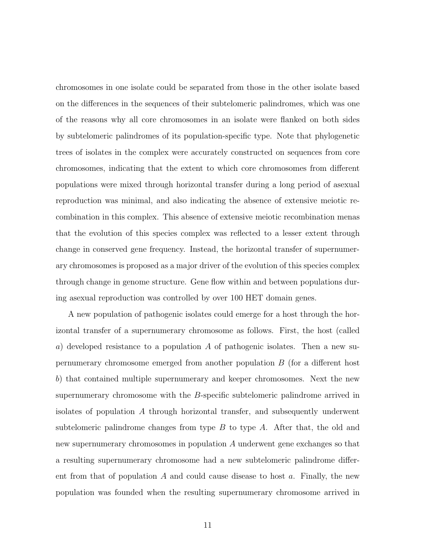chromosomes in one isolate could be separated from those in the other isolate based on the differences in the sequences of their subtelomeric palindromes, which was one of the reasons why all core chromosomes in an isolate were flanked on both sides by subtelomeric palindromes of its population-specific type. Note that phylogenetic trees of isolates in the complex were accurately constructed on sequences from core chromosomes, indicating that the extent to which core chromosomes from different populations were mixed through horizontal transfer during a long period of asexual reproduction was minimal, and also indicating the absence of extensive meiotic recombination in this complex. This absence of extensive meiotic recombination menas that the evolution of this species complex was reflected to a lesser extent through change in conserved gene frequency. Instead, the horizontal transfer of supernumerary chromosomes is proposed as a major driver of the evolution of this species complex through change in genome structure. Gene flow within and between populations during asexual reproduction was controlled by over 100 HET domain genes.

A new population of pathogenic isolates could emerge for a host through the horizontal transfer of a supernumerary chromosome as follows. First, the host (called a) developed resistance to a population A of pathogenic isolates. Then a new supernumerary chromosome emerged from another population B (for a different host b) that contained multiple supernumerary and keeper chromosomes. Next the new supernumerary chromosome with the B-specific subtelomeric palindrome arrived in isolates of population A through horizontal transfer, and subsequently underwent subtelomeric palindrome changes from type  $B$  to type  $A$ . After that, the old and new supernumerary chromosomes in population A underwent gene exchanges so that a resulting supernumerary chromosome had a new subtelomeric palindrome different from that of population A and could cause disease to host a. Finally, the new population was founded when the resulting supernumerary chromosome arrived in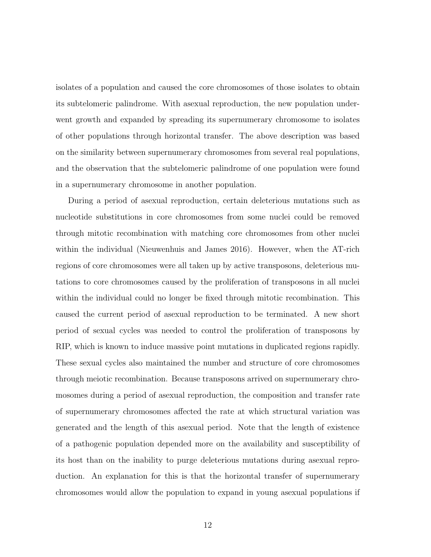isolates of a population and caused the core chromosomes of those isolates to obtain its subtelomeric palindrome. With asexual reproduction, the new population underwent growth and expanded by spreading its supernumerary chromosome to isolates of other populations through horizontal transfer. The above description was based on the similarity between supernumerary chromosomes from several real populations, and the observation that the subtelomeric palindrome of one population were found in a supernumerary chromosome in another population.

During a period of asexual reproduction, certain deleterious mutations such as nucleotide substitutions in core chromosomes from some nuclei could be removed through mitotic recombination with matching core chromosomes from other nuclei within the individual (Nieuwenhuis and James 2016). However, when the AT-rich regions of core chromosomes were all taken up by active transposons, deleterious mutations to core chromosomes caused by the proliferation of transposons in all nuclei within the individual could no longer be fixed through mitotic recombination. This caused the current period of asexual reproduction to be terminated. A new short period of sexual cycles was needed to control the proliferation of transposons by RIP, which is known to induce massive point mutations in duplicated regions rapidly. These sexual cycles also maintained the number and structure of core chromosomes through meiotic recombination. Because transposons arrived on supernumerary chromosomes during a period of asexual reproduction, the composition and transfer rate of supernumerary chromosomes affected the rate at which structural variation was generated and the length of this asexual period. Note that the length of existence of a pathogenic population depended more on the availability and susceptibility of its host than on the inability to purge deleterious mutations during asexual reproduction. An explanation for this is that the horizontal transfer of supernumerary chromosomes would allow the population to expand in young asexual populations if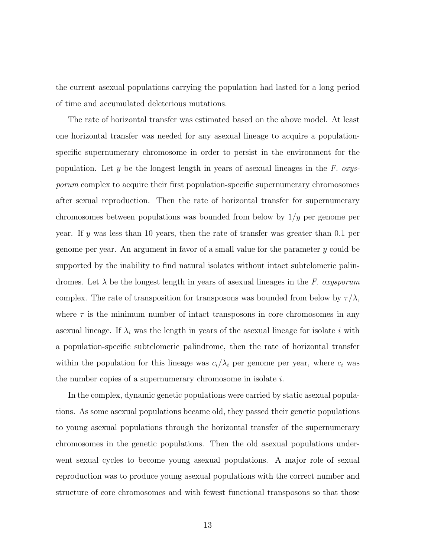the current asexual populations carrying the population had lasted for a long period of time and accumulated deleterious mutations.

The rate of horizontal transfer was estimated based on the above model. At least one horizontal transfer was needed for any asexual lineage to acquire a populationspecific supernumerary chromosome in order to persist in the environment for the population. Let y be the longest length in years of asexual lineages in the *F. oxysporum* complex to acquire their first population-specific supernumerary chromosomes after sexual reproduction. Then the rate of horizontal transfer for supernumerary chromosomes between populations was bounded from below by  $1/y$  per genome per year. If y was less than 10 years, then the rate of transfer was greater than 0.1 per genome per year. An argument in favor of a small value for the parameter y could be supported by the inability to find natural isolates without intact subtelomeric palindromes. Let λ be the longest length in years of asexual lineages in the *F. oxysporum* complex. The rate of transposition for transposons was bounded from below by  $\tau/\lambda$ , where  $\tau$  is the minimum number of intact transposons in core chromosomes in any asexual lineage. If  $\lambda_i$  was the length in years of the asexual lineage for isolate i with a population-specific subtelomeric palindrome, then the rate of horizontal transfer within the population for this lineage was  $c_i/\lambda_i$  per genome per year, where  $c_i$  was the number copies of a supernumerary chromosome in isolate i.

In the complex, dynamic genetic populations were carried by static asexual populations. As some asexual populations became old, they passed their genetic populations to young asexual populations through the horizontal transfer of the supernumerary chromosomes in the genetic populations. Then the old asexual populations underwent sexual cycles to become young asexual populations. A major role of sexual reproduction was to produce young asexual populations with the correct number and structure of core chromosomes and with fewest functional transposons so that those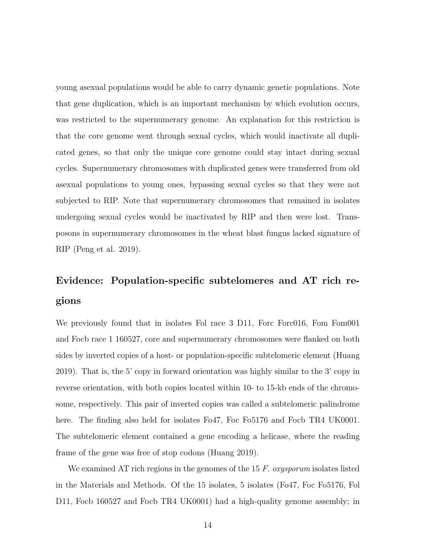young asexual populations would be able to carry dynamic genetic populations. Note that gene duplication, which is an important mechanism by which evolution occurs, was restricted to the supernumerary genome. An explanation for this restriction is that the core genome went through sexual cycles, which would inactivate all duplicated genes, so that only the unique core genome could stay intact during sexual cycles. Supernumerary chromosomes with duplicated genes were transferred from old asexual populations to young ones, bypassing sexual cycles so that they were not subjected to RIP. Note that supernumerary chromosomes that remained in isolates undergoing sexual cycles would be inactivated by RIP and then were lost. Transposons in supernumerary chromosomes in the wheat blast fungus lacked signature of RIP (Peng et al. 2019).

# Evidence: Population-specific subtelomeres and AT rich regions

We previously found that in isolates Fol race 3 D11, Forc Forc016, Fom Fom001 and Focb race 1 160527, core and supernumerary chromosomes were flanked on both sides by inverted copies of a host- or population-specific subtelomeric element (Huang 2019). That is, the 5' copy in forward orientation was highly similar to the 3' copy in reverse orientation, with both copies located within 10- to 15-kb ends of the chromosome, respectively. This pair of inverted copies was called a subtelomeric palindrome here. The finding also held for isolates Fo47, Foc Fo5176 and Focb TR4 UK0001. The subtelomeric element contained a gene encoding a helicase, where the reading frame of the gene was free of stop codons (Huang 2019).

We examined AT rich regions in the genomes of the 15 *F. oxysporum* isolates listed in the Materials and Methods. Of the 15 isolates, 5 isolates (Fo47, Foc Fo5176, Fol D11, Focb 160527 and Focb TR4 UK0001) had a high-quality genome assembly; in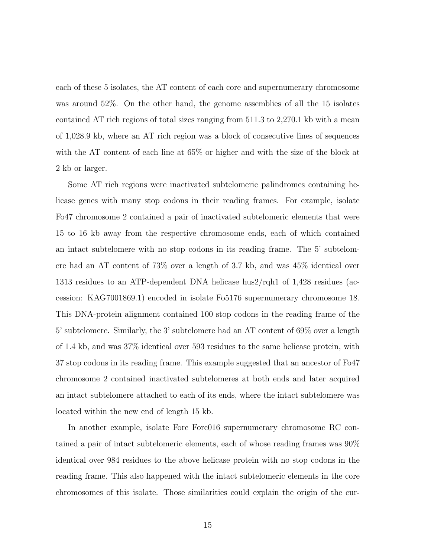each of these 5 isolates, the AT content of each core and supernumerary chromosome was around 52%. On the other hand, the genome assemblies of all the 15 isolates contained AT rich regions of total sizes ranging from 511.3 to 2,270.1 kb with a mean of 1,028.9 kb, where an AT rich region was a block of consecutive lines of sequences with the AT content of each line at 65% or higher and with the size of the block at 2 kb or larger.

Some AT rich regions were inactivated subtelomeric palindromes containing helicase genes with many stop codons in their reading frames. For example, isolate Fo47 chromosome 2 contained a pair of inactivated subtelomeric elements that were 15 to 16 kb away from the respective chromosome ends, each of which contained an intact subtelomere with no stop codons in its reading frame. The 5' subtelomere had an AT content of 73% over a length of 3.7 kb, and was 45% identical over 1313 residues to an ATP-dependent DNA helicase hus2/rqh1 of 1,428 residues (accession: KAG7001869.1) encoded in isolate Fo5176 supernumerary chromosome 18. This DNA-protein alignment contained 100 stop codons in the reading frame of the 5' subtelomere. Similarly, the 3' subtelomere had an AT content of 69% over a length of 1.4 kb, and was 37% identical over 593 residues to the same helicase protein, with 37 stop codons in its reading frame. This example suggested that an ancestor of Fo47 chromosome 2 contained inactivated subtelomeres at both ends and later acquired an intact subtelomere attached to each of its ends, where the intact subtelomere was located within the new end of length 15 kb.

In another example, isolate Forc Forc016 supernumerary chromosome RC contained a pair of intact subtelomeric elements, each of whose reading frames was 90% identical over 984 residues to the above helicase protein with no stop codons in the reading frame. This also happened with the intact subtelomeric elements in the core chromosomes of this isolate. Those similarities could explain the origin of the cur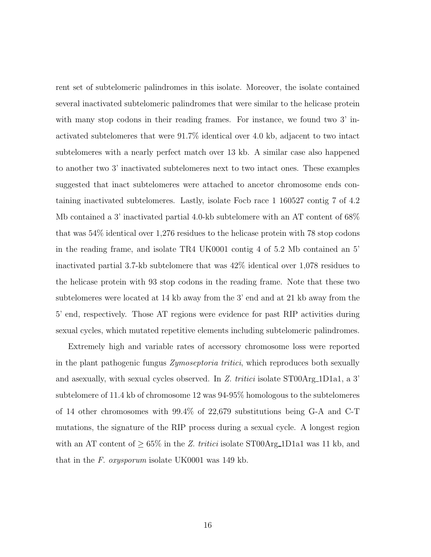rent set of subtelomeric palindromes in this isolate. Moreover, the isolate contained several inactivated subtelomeric palindromes that were similar to the helicase protein with many stop codons in their reading frames. For instance, we found two 3' inactivated subtelomeres that were 91.7% identical over 4.0 kb, adjacent to two intact subtelomeres with a nearly perfect match over 13 kb. A similar case also happened to another two 3' inactivated subtelomeres next to two intact ones. These examples suggested that inact subtelomeres were attached to ancetor chromosome ends containing inactivated subtelomeres. Lastly, isolate Focb race 1 160527 contig 7 of 4.2 Mb contained a 3' inactivated partial 4.0-kb subtelomere with an AT content of 68% that was 54% identical over 1,276 residues to the helicase protein with 78 stop codons in the reading frame, and isolate TR4 UK0001 contig 4 of 5.2 Mb contained an 5' inactivated partial 3.7-kb subtelomere that was 42% identical over 1,078 residues to the helicase protein with 93 stop codons in the reading frame. Note that these two subtelomeres were located at 14 kb away from the 3' end and at 21 kb away from the 5' end, respectively. Those AT regions were evidence for past RIP activities during sexual cycles, which mutated repetitive elements including subtelomeric palindromes.

Extremely high and variable rates of accessory chromosome loss were reported in the plant pathogenic fungus *Zymoseptoria tritici*, which reproduces both sexually and asexually, with sexual cycles observed. In *Z. tritici* isolate ST00Arg\_1D1a1, a 3' subtelomere of 11.4 kb of chromosome 12 was 94-95% homologous to the subtelomeres of 14 other chromosomes with 99.4% of 22,679 substitutions being G-A and C-T mutations, the signature of the RIP process during a sexual cycle. A longest region with an AT content of  $\geq 65\%$  in the *Z. tritici* isolate ST00Arg<sub>1</sub>D1a1 was 11 kb, and that in the *F. oxysporum* isolate UK0001 was 149 kb.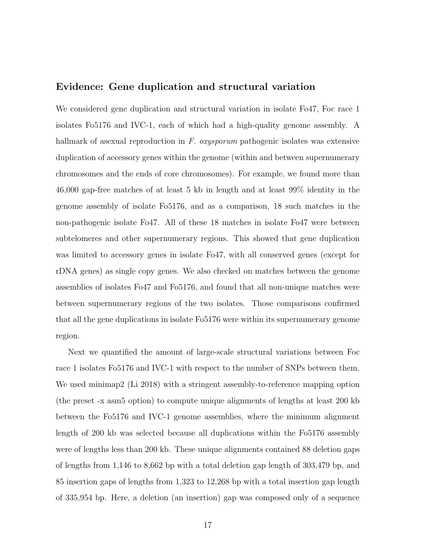#### Evidence: Gene duplication and structural variation

We considered gene duplication and structural variation in isolate Fo47, Foc race 1 isolates Fo5176 and IVC-1, each of which had a high-quality genome assembly. A hallmark of asexual reproduction in *F. oxysporum* pathogenic isolates was extensive duplication of accessory genes within the genome (within and between supernumerary chromosomes and the ends of core chromosomes). For example, we found more than 46,000 gap-free matches of at least 5 kb in length and at least 99% identity in the genome assembly of isolate Fo5176, and as a comparison, 18 such matches in the non-pathogenic isolate Fo47. All of these 18 matches in isolate Fo47 were between subtelomeres and other supernumerary regions. This showed that gene duplication was limited to accessory genes in isolate Fo47, with all conserved genes (except for rDNA genes) as single copy genes. We also checked on matches between the genome assemblies of isolates Fo47 and Fo5176, and found that all non-unique matches were between supernumerary regions of the two isolates. Those comparisons confirmed that all the gene duplications in isolate Fo5176 were within its supernumerary genome region.

Next we quantified the amount of large-scale structural variations between Foc race 1 isolates Fo5176 and IVC-1 with respect to the number of SNPs between them. We used minimap2 (Li 2018) with a stringent assembly-to-reference mapping option (the preset -x asm5 option) to compute unique alignments of lengths at least 200 kb between the Fo5176 and IVC-1 genome assemblies, where the minimum alignment length of 200 kb was selected because all duplications within the Fo5176 assembly were of lengths less than 200 kb. These unique alignments contained 88 deletion gaps of lengths from 1,146 to 8,662 bp with a total deletion gap length of 303,479 bp, and 85 insertion gaps of lengths from 1,323 to 12,268 bp with a total insertion gap length of 335,954 bp. Here, a deletion (an insertion) gap was composed only of a sequence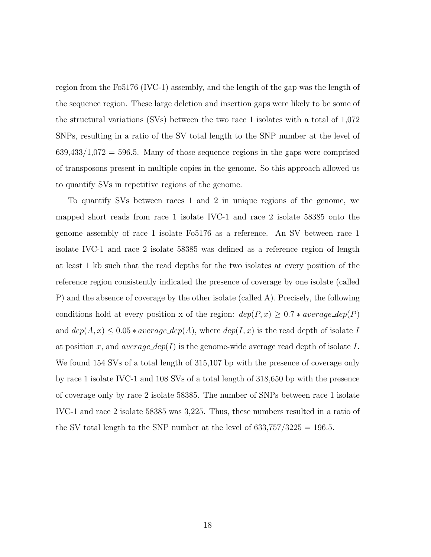region from the Fo5176 (IVC-1) assembly, and the length of the gap was the length of the sequence region. These large deletion and insertion gaps were likely to be some of the structural variations (SVs) between the two race 1 isolates with a total of 1,072 SNPs, resulting in a ratio of the SV total length to the SNP number at the level of  $639,433/1,072 = 596.5$ . Many of those sequence regions in the gaps were comprised of transposons present in multiple copies in the genome. So this approach allowed us to quantify SVs in repetitive regions of the genome.

To quantify SVs between races 1 and 2 in unique regions of the genome, we mapped short reads from race 1 isolate IVC-1 and race 2 isolate 58385 onto the genome assembly of race 1 isolate Fo5176 as a reference. An SV between race 1 isolate IVC-1 and race 2 isolate 58385 was defined as a reference region of length at least 1 kb such that the read depths for the two isolates at every position of the reference region consistently indicated the presence of coverage by one isolate (called P) and the absence of coverage by the other isolate (called A). Precisely, the following conditions hold at every position x of the region:  $dep(P, x) \ge 0.7 * average\_dep(P)$ and  $dep(A, x) \leq 0.05 * average\_dep(A)$ , where  $dep(I, x)$  is the read depth of isolate I at position x, and average  $dep(I)$  is the genome-wide average read depth of isolate I. We found 154 SVs of a total length of 315,107 bp with the presence of coverage only by race 1 isolate IVC-1 and 108 SVs of a total length of 318,650 bp with the presence of coverage only by race 2 isolate 58385. The number of SNPs between race 1 isolate IVC-1 and race 2 isolate 58385 was 3,225. Thus, these numbers resulted in a ratio of the SV total length to the SNP number at the level of  $633,757/3225 = 196.5$ .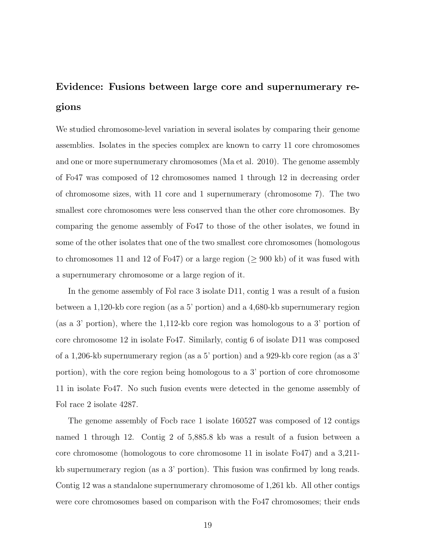# Evidence: Fusions between large core and supernumerary regions

We studied chromosome-level variation in several isolates by comparing their genome assemblies. Isolates in the species complex are known to carry 11 core chromosomes and one or more supernumerary chromosomes (Ma et al. 2010). The genome assembly of Fo47 was composed of 12 chromosomes named 1 through 12 in decreasing order of chromosome sizes, with 11 core and 1 supernumerary (chromosome 7). The two smallest core chromosomes were less conserved than the other core chromosomes. By comparing the genome assembly of Fo47 to those of the other isolates, we found in some of the other isolates that one of the two smallest core chromosomes (homologous to chromosomes 11 and 12 of Fo47) or a large region ( $\geq$  900 kb) of it was fused with a supernumerary chromosome or a large region of it.

In the genome assembly of Fol race 3 isolate D11, contig 1 was a result of a fusion between a 1,120-kb core region (as a 5' portion) and a 4,680-kb supernumerary region (as a 3' portion), where the 1,112-kb core region was homologous to a 3' portion of core chromosome 12 in isolate Fo47. Similarly, contig 6 of isolate D11 was composed of a 1,206-kb supernumerary region (as a 5' portion) and a 929-kb core region (as a 3' portion), with the core region being homologous to a 3' portion of core chromosome 11 in isolate Fo47. No such fusion events were detected in the genome assembly of Fol race 2 isolate 4287.

The genome assembly of Focb race 1 isolate 160527 was composed of 12 contigs named 1 through 12. Contig 2 of 5,885.8 kb was a result of a fusion between a core chromosome (homologous to core chromosome 11 in isolate Fo47) and a 3,211 kb supernumerary region (as a 3' portion). This fusion was confirmed by long reads. Contig 12 was a standalone supernumerary chromosome of 1,261 kb. All other contigs were core chromosomes based on comparison with the Fo47 chromosomes; their ends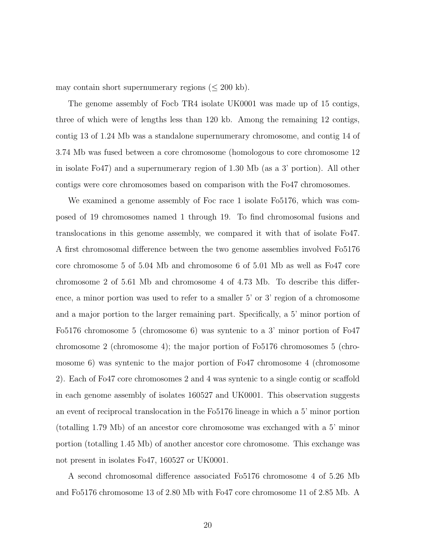may contain short supernumerary regions  $(\leq 200 \text{ kb})$ .

The genome assembly of Focb TR4 isolate UK0001 was made up of 15 contigs, three of which were of lengths less than 120 kb. Among the remaining 12 contigs, contig 13 of 1.24 Mb was a standalone supernumerary chromosome, and contig 14 of 3.74 Mb was fused between a core chromosome (homologous to core chromosome 12 in isolate Fo47) and a supernumerary region of 1.30 Mb (as a 3' portion). All other contigs were core chromosomes based on comparison with the Fo47 chromosomes.

We examined a genome assembly of Foc race 1 isolate Fo5176, which was composed of 19 chromosomes named 1 through 19. To find chromosomal fusions and translocations in this genome assembly, we compared it with that of isolate Fo47. A first chromosomal difference between the two genome assemblies involved Fo5176 core chromosome 5 of 5.04 Mb and chromosome 6 of 5.01 Mb as well as Fo47 core chromosome 2 of 5.61 Mb and chromosome 4 of 4.73 Mb. To describe this difference, a minor portion was used to refer to a smaller 5' or 3' region of a chromosome and a major portion to the larger remaining part. Specifically, a 5' minor portion of Fo5176 chromosome 5 (chromosome 6) was syntenic to a 3' minor portion of Fo47 chromosome 2 (chromosome 4); the major portion of Fo5176 chromosomes 5 (chromosome 6) was syntenic to the major portion of Fo47 chromosome 4 (chromosome 2). Each of Fo47 core chromosomes 2 and 4 was syntenic to a single contig or scaffold in each genome assembly of isolates 160527 and UK0001. This observation suggests an event of reciprocal translocation in the Fo5176 lineage in which a 5' minor portion (totalling 1.79 Mb) of an ancestor core chromosome was exchanged with a 5' minor portion (totalling 1.45 Mb) of another ancestor core chromosome. This exchange was not present in isolates Fo47, 160527 or UK0001.

A second chromosomal difference associated Fo5176 chromosome 4 of 5.26 Mb and Fo5176 chromosome 13 of 2.80 Mb with Fo47 core chromosome 11 of 2.85 Mb. A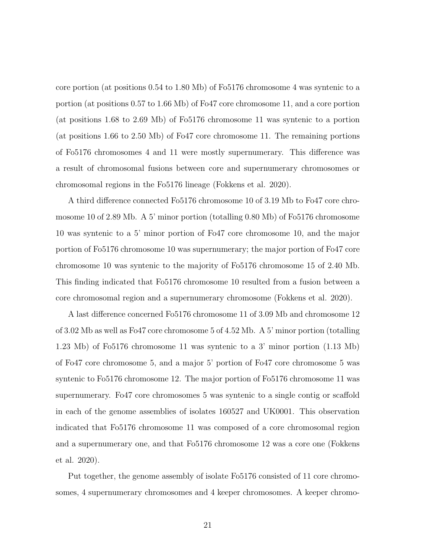core portion (at positions 0.54 to 1.80 Mb) of Fo5176 chromosome 4 was syntenic to a portion (at positions 0.57 to 1.66 Mb) of Fo47 core chromosome 11, and a core portion (at positions 1.68 to 2.69 Mb) of Fo5176 chromosome 11 was syntenic to a portion (at positions 1.66 to 2.50 Mb) of Fo47 core chromosome 11. The remaining portions of Fo5176 chromosomes 4 and 11 were mostly supernumerary. This difference was a result of chromosomal fusions between core and supernumerary chromosomes or chromosomal regions in the Fo5176 lineage (Fokkens et al. 2020).

A third difference connected Fo5176 chromosome 10 of 3.19 Mb to Fo47 core chromosome 10 of 2.89 Mb. A 5' minor portion (totalling 0.80 Mb) of Fo5176 chromosome 10 was syntenic to a 5' minor portion of Fo47 core chromosome 10, and the major portion of Fo5176 chromosome 10 was supernumerary; the major portion of Fo47 core chromosome 10 was syntenic to the majority of Fo5176 chromosome 15 of 2.40 Mb. This finding indicated that Fo5176 chromosome 10 resulted from a fusion between a core chromosomal region and a supernumerary chromosome (Fokkens et al. 2020).

A last difference concerned Fo5176 chromosome 11 of 3.09 Mb and chromosome 12 of 3.02 Mb as well as Fo47 core chromosome 5 of 4.52 Mb. A 5' minor portion (totalling 1.23 Mb) of Fo5176 chromosome 11 was syntenic to a 3' minor portion (1.13 Mb) of Fo47 core chromosome 5, and a major 5' portion of Fo47 core chromosome 5 was syntenic to Fo5176 chromosome 12. The major portion of Fo5176 chromosome 11 was supernumerary. Fo47 core chromosomes 5 was syntenic to a single contig or scaffold in each of the genome assemblies of isolates 160527 and UK0001. This observation indicated that Fo5176 chromosome 11 was composed of a core chromosomal region and a supernumerary one, and that Fo5176 chromosome 12 was a core one (Fokkens et al. 2020).

Put together, the genome assembly of isolate Fo5176 consisted of 11 core chromosomes, 4 supernumerary chromosomes and 4 keeper chromosomes. A keeper chromo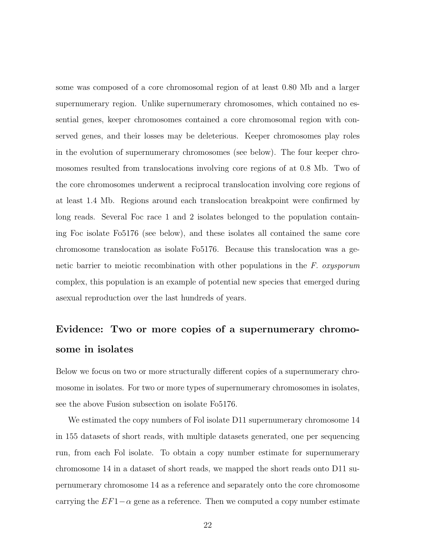some was composed of a core chromosomal region of at least 0.80 Mb and a larger supernumerary region. Unlike supernumerary chromosomes, which contained no essential genes, keeper chromosomes contained a core chromosomal region with conserved genes, and their losses may be deleterious. Keeper chromosomes play roles in the evolution of supernumerary chromosomes (see below). The four keeper chromosomes resulted from translocations involving core regions of at 0.8 Mb. Two of the core chromosomes underwent a reciprocal translocation involving core regions of at least 1.4 Mb. Regions around each translocation breakpoint were confirmed by long reads. Several Foc race 1 and 2 isolates belonged to the population containing Foc isolate Fo5176 (see below), and these isolates all contained the same core chromosome translocation as isolate Fo5176. Because this translocation was a genetic barrier to meiotic recombination with other populations in the *F. oxysporum* complex, this population is an example of potential new species that emerged during asexual reproduction over the last hundreds of years.

# Evidence: Two or more copies of a supernumerary chromosome in isolates

Below we focus on two or more structurally different copies of a supernumerary chromosome in isolates. For two or more types of supernumerary chromosomes in isolates, see the above Fusion subsection on isolate Fo5176.

We estimated the copy numbers of Fol isolate D11 supernumerary chromosome 14 in 155 datasets of short reads, with multiple datasets generated, one per sequencing run, from each Fol isolate. To obtain a copy number estimate for supernumerary chromosome 14 in a dataset of short reads, we mapped the short reads onto D11 supernumerary chromosome 14 as a reference and separately onto the core chromosome carrying the  $EF1-\alpha$  gene as a reference. Then we computed a copy number estimate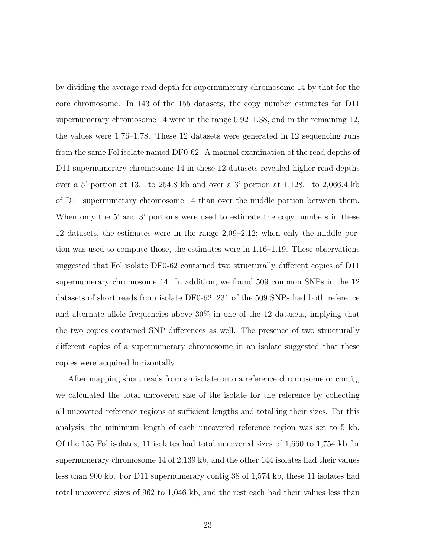by dividing the average read depth for supernumerary chromosome 14 by that for the core chromosome. In 143 of the 155 datasets, the copy number estimates for D11 supernumerary chromosome 14 were in the range 0.92–1.38, and in the remaining 12, the values were 1.76–1.78. These 12 datasets were generated in 12 sequencing runs from the same Fol isolate named DF0-62. A manual examination of the read depths of D11 supernumerary chromosome 14 in these 12 datasets revealed higher read depths over a 5' portion at 13.1 to 254.8 kb and over a 3' portion at 1,128.1 to 2,066.4 kb of D11 supernumerary chromosome 14 than over the middle portion between them. When only the 5' and 3' portions were used to estimate the copy numbers in these 12 datasets, the estimates were in the range 2.09–2.12; when only the middle portion was used to compute those, the estimates were in 1.16–1.19. These observations suggested that Fol isolate DF0-62 contained two structurally different copies of D11 supernumerary chromosome 14. In addition, we found 509 common SNPs in the 12 datasets of short reads from isolate DF0-62; 231 of the 509 SNPs had both reference and alternate allele frequencies above 30% in one of the 12 datasets, implying that the two copies contained SNP differences as well. The presence of two structurally different copies of a supernumerary chromosome in an isolate suggested that these copies were acquired horizontally.

After mapping short reads from an isolate onto a reference chromosome or contig, we calculated the total uncovered size of the isolate for the reference by collecting all uncovered reference regions of sufficient lengths and totalling their sizes. For this analysis, the minimum length of each uncovered reference region was set to 5 kb. Of the 155 Fol isolates, 11 isolates had total uncovered sizes of 1,660 to 1,754 kb for supernumerary chromosome 14 of 2,139 kb, and the other 144 isolates had their values less than 900 kb. For D11 supernumerary contig 38 of 1,574 kb, these 11 isolates had total uncovered sizes of 962 to 1,046 kb, and the rest each had their values less than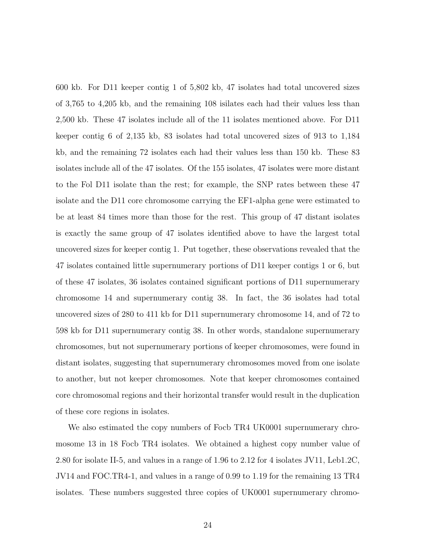600 kb. For D11 keeper contig 1 of 5,802 kb, 47 isolates had total uncovered sizes of 3,765 to 4,205 kb, and the remaining 108 isilates each had their values less than 2,500 kb. These 47 isolates include all of the 11 isolates mentioned above. For D11 keeper contig 6 of 2,135 kb, 83 isolates had total uncovered sizes of 913 to 1,184 kb, and the remaining 72 isolates each had their values less than 150 kb. These 83 isolates include all of the 47 isolates. Of the 155 isolates, 47 isolates were more distant to the Fol D11 isolate than the rest; for example, the SNP rates between these 47 isolate and the D11 core chromosome carrying the EF1-alpha gene were estimated to be at least 84 times more than those for the rest. This group of 47 distant isolates is exactly the same group of 47 isolates identified above to have the largest total uncovered sizes for keeper contig 1. Put together, these observations revealed that the 47 isolates contained little supernumerary portions of D11 keeper contigs 1 or 6, but of these 47 isolates, 36 isolates contained significant portions of D11 supernumerary chromosome 14 and supernumerary contig 38. In fact, the 36 isolates had total uncovered sizes of 280 to 411 kb for D11 supernumerary chromosome 14, and of 72 to 598 kb for D11 supernumerary contig 38. In other words, standalone supernumerary chromosomes, but not supernumerary portions of keeper chromosomes, were found in distant isolates, suggesting that supernumerary chromosomes moved from one isolate to another, but not keeper chromosomes. Note that keeper chromosomes contained core chromosomal regions and their horizontal transfer would result in the duplication of these core regions in isolates.

We also estimated the copy numbers of Focb TR4 UK0001 supernumerary chromosome 13 in 18 Focb TR4 isolates. We obtained a highest copy number value of 2.80 for isolate II-5, and values in a range of 1.96 to 2.12 for 4 isolates JV11, Leb1.2C, JV14 and FOC.TR4-1, and values in a range of 0.99 to 1.19 for the remaining 13 TR4 isolates. These numbers suggested three copies of UK0001 supernumerary chromo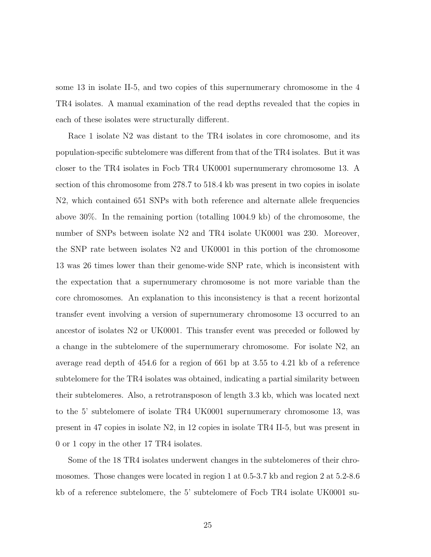some 13 in isolate II-5, and two copies of this supernumerary chromosome in the 4 TR4 isolates. A manual examination of the read depths revealed that the copies in each of these isolates were structurally different.

Race 1 isolate N2 was distant to the TR4 isolates in core chromosome, and its population-specific subtelomere was different from that of the TR4 isolates. But it was closer to the TR4 isolates in Focb TR4 UK0001 supernumerary chromosome 13. A section of this chromosome from 278.7 to 518.4 kb was present in two copies in isolate N2, which contained 651 SNPs with both reference and alternate allele frequencies above 30%. In the remaining portion (totalling 1004.9 kb) of the chromosome, the number of SNPs between isolate N2 and TR4 isolate UK0001 was 230. Moreover, the SNP rate between isolates N2 and UK0001 in this portion of the chromosome 13 was 26 times lower than their genome-wide SNP rate, which is inconsistent with the expectation that a supernumerary chromosome is not more variable than the core chromosomes. An explanation to this inconsistency is that a recent horizontal transfer event involving a version of supernumerary chromosome 13 occurred to an ancestor of isolates N2 or UK0001. This transfer event was preceded or followed by a change in the subtelomere of the supernumerary chromosome. For isolate N2, an average read depth of 454.6 for a region of 661 bp at 3.55 to 4.21 kb of a reference subtelomere for the TR4 isolates was obtained, indicating a partial similarity between their subtelomeres. Also, a retrotransposon of length 3.3 kb, which was located next to the 5' subtelomere of isolate TR4 UK0001 supernumerary chromosome 13, was present in 47 copies in isolate N2, in 12 copies in isolate TR4 II-5, but was present in 0 or 1 copy in the other 17 TR4 isolates.

Some of the 18 TR4 isolates underwent changes in the subtelomeres of their chromosomes. Those changes were located in region 1 at 0.5-3.7 kb and region 2 at 5.2-8.6 kb of a reference subtelomere, the 5' subtelomere of Focb TR4 isolate UK0001 su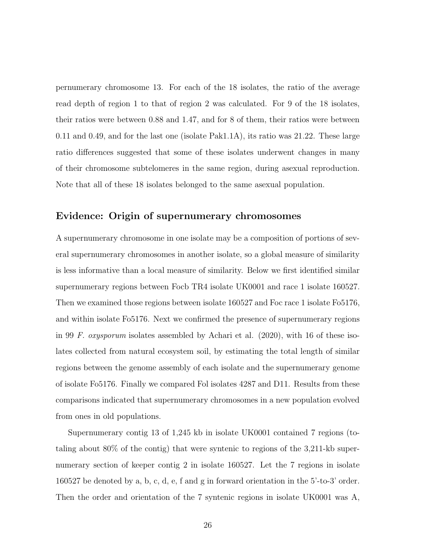pernumerary chromosome 13. For each of the 18 isolates, the ratio of the average read depth of region 1 to that of region 2 was calculated. For 9 of the 18 isolates, their ratios were between 0.88 and 1.47, and for 8 of them, their ratios were between 0.11 and 0.49, and for the last one (isolate Pak1.1A), its ratio was 21.22. These large ratio differences suggested that some of these isolates underwent changes in many of their chromosome subtelomeres in the same region, during asexual reproduction. Note that all of these 18 isolates belonged to the same asexual population.

#### Evidence: Origin of supernumerary chromosomes

A supernumerary chromosome in one isolate may be a composition of portions of several supernumerary chromosomes in another isolate, so a global measure of similarity is less informative than a local measure of similarity. Below we first identified similar supernumerary regions between Focb TR4 isolate UK0001 and race 1 isolate 160527. Then we examined those regions between isolate 160527 and Foc race 1 isolate Fo5176, and within isolate Fo5176. Next we confirmed the presence of supernumerary regions in 99 *F. oxysporum* isolates assembled by Achari et al. (2020), with 16 of these isolates collected from natural ecosystem soil, by estimating the total length of similar regions between the genome assembly of each isolate and the supernumerary genome of isolate Fo5176. Finally we compared Fol isolates 4287 and D11. Results from these comparisons indicated that supernumerary chromosomes in a new population evolved from ones in old populations.

Supernumerary contig 13 of 1,245 kb in isolate UK0001 contained 7 regions (totaling about 80% of the contig) that were syntenic to regions of the 3,211-kb supernumerary section of keeper contig 2 in isolate 160527. Let the 7 regions in isolate 160527 be denoted by a, b, c, d, e, f and g in forward orientation in the 5'-to-3' order. Then the order and orientation of the 7 syntenic regions in isolate UK0001 was A,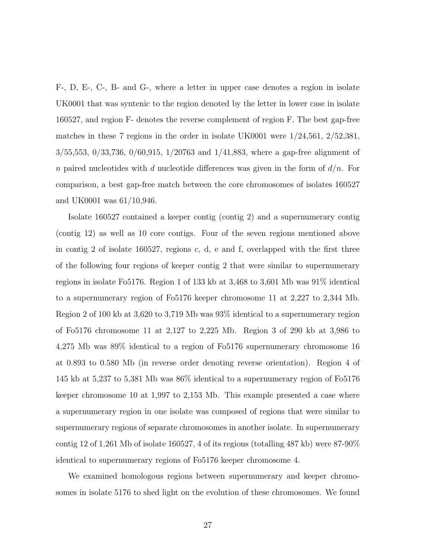F-, D, E-, C-, B- and G-, where a letter in upper case denotes a region in isolate UK0001 that was syntenic to the region denoted by the letter in lower case in isolate 160527, and region F- denotes the reverse complement of region F. The best gap-free matches in these 7 regions in the order in isolate UK0001 were 1/24,561, 2/52,381, 3/55,553, 0/33,736, 0/60,915, 1/20763 and 1/41,883, where a gap-free alignment of n paired nucleotides with d nucleotide differences was given in the form of  $d/n$ . For comparison, a best gap-free match between the core chromosomes of isolates 160527 and UK0001 was 61/10,946.

Isolate 160527 contained a keeper contig (contig 2) and a supernumerary contig (contig 12) as well as 10 core contigs. Four of the seven regions mentioned above in contig 2 of isolate 160527, regions c, d, e and f, overlapped with the first three of the following four regions of keeper contig 2 that were similar to supernumerary regions in isolate Fo5176. Region 1 of 133 kb at 3,468 to 3,601 Mb was 91% identical to a supernumerary region of Fo5176 keeper chromosome 11 at 2,227 to 2,344 Mb. Region 2 of 100 kb at 3,620 to 3,719 Mb was 93% identical to a supernumerary region of Fo5176 chromosome 11 at 2,127 to 2,225 Mb. Region 3 of 290 kb at 3,986 to 4,275 Mb was 89% identical to a region of Fo5176 supernumerary chromosome 16 at 0.893 to 0.580 Mb (in reverse order denoting reverse orientation). Region 4 of 145 kb at 5,237 to 5,381 Mb was 86% identical to a supernumerary region of Fo5176 keeper chromosome 10 at 1,997 to 2,153 Mb. This example presented a case where a supernumerary region in one isolate was composed of regions that were similar to supernumerary regions of separate chromosomes in another isolate. In supernumerary contig 12 of 1.261 Mb of isolate 160527, 4 of its regions (totalling  $487$  kb) were  $87-90\%$ identical to supernumerary regions of Fo5176 keeper chromosome 4.

We examined homologous regions between supernumerary and keeper chromosomes in isolate 5176 to shed light on the evolution of these chromosomes. We found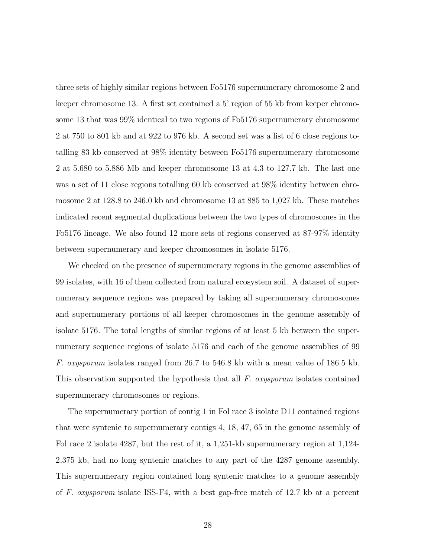three sets of highly similar regions between Fo5176 supernumerary chromosome 2 and keeper chromosome 13. A first set contained a 5' region of 55 kb from keeper chromosome 13 that was 99% identical to two regions of Fo5176 supernumerary chromosome 2 at 750 to 801 kb and at 922 to 976 kb. A second set was a list of 6 close regions totalling 83 kb conserved at 98% identity between Fo5176 supernumerary chromosome 2 at 5.680 to 5.886 Mb and keeper chromosome 13 at 4.3 to 127.7 kb. The last one was a set of 11 close regions totalling 60 kb conserved at 98% identity between chromosome 2 at 128.8 to 246.0 kb and chromosome 13 at 885 to 1,027 kb. These matches indicated recent segmental duplications between the two types of chromosomes in the Fo5176 lineage. We also found 12 more sets of regions conserved at 87-97% identity between supernumerary and keeper chromosomes in isolate 5176.

We checked on the presence of supernumerary regions in the genome assemblies of 99 isolates, with 16 of them collected from natural ecosystem soil. A dataset of supernumerary sequence regions was prepared by taking all supernumerary chromosomes and supernumerary portions of all keeper chromosomes in the genome assembly of isolate 5176. The total lengths of similar regions of at least 5 kb between the supernumerary sequence regions of isolate 5176 and each of the genome assemblies of 99 *F. oxysporum* isolates ranged from 26.7 to 546.8 kb with a mean value of 186.5 kb. This observation supported the hypothesis that all *F. oxysporum* isolates contained supernumerary chromosomes or regions.

The supernumerary portion of contig 1 in Fol race 3 isolate D11 contained regions that were syntenic to supernumerary contigs 4, 18, 47, 65 in the genome assembly of Fol race 2 isolate 4287, but the rest of it, a 1,251-kb supernumerary region at 1,124- 2,375 kb, had no long syntenic matches to any part of the 4287 genome assembly. This supernumerary region contained long syntenic matches to a genome assembly of *F. oxysporum* isolate ISS-F4, with a best gap-free match of 12.7 kb at a percent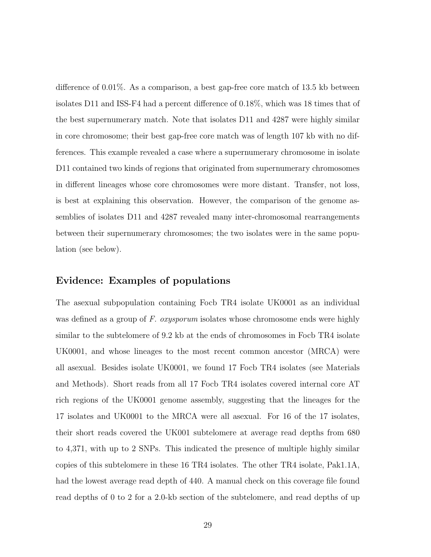difference of 0.01%. As a comparison, a best gap-free core match of 13.5 kb between isolates D11 and ISS-F4 had a percent difference of 0.18%, which was 18 times that of the best supernumerary match. Note that isolates D11 and 4287 were highly similar in core chromosome; their best gap-free core match was of length 107 kb with no differences. This example revealed a case where a supernumerary chromosome in isolate D11 contained two kinds of regions that originated from supernumerary chromosomes in different lineages whose core chromosomes were more distant. Transfer, not loss, is best at explaining this observation. However, the comparison of the genome assemblies of isolates D11 and 4287 revealed many inter-chromosomal rearrangements between their supernumerary chromosomes; the two isolates were in the same population (see below).

#### Evidence: Examples of populations

The asexual subpopulation containing Focb TR4 isolate UK0001 as an individual was defined as a group of *F. oxysporum* isolates whose chromosome ends were highly similar to the subtelomere of 9.2 kb at the ends of chromosomes in Focb TR4 isolate UK0001, and whose lineages to the most recent common ancestor (MRCA) were all asexual. Besides isolate UK0001, we found 17 Focb TR4 isolates (see Materials and Methods). Short reads from all 17 Focb TR4 isolates covered internal core AT rich regions of the UK0001 genome assembly, suggesting that the lineages for the 17 isolates and UK0001 to the MRCA were all asexual. For 16 of the 17 isolates, their short reads covered the UK001 subtelomere at average read depths from 680 to 4,371, with up to 2 SNPs. This indicated the presence of multiple highly similar copies of this subtelomere in these 16 TR4 isolates. The other TR4 isolate, Pak1.1A, had the lowest average read depth of 440. A manual check on this coverage file found read depths of 0 to 2 for a 2.0-kb section of the subtelomere, and read depths of up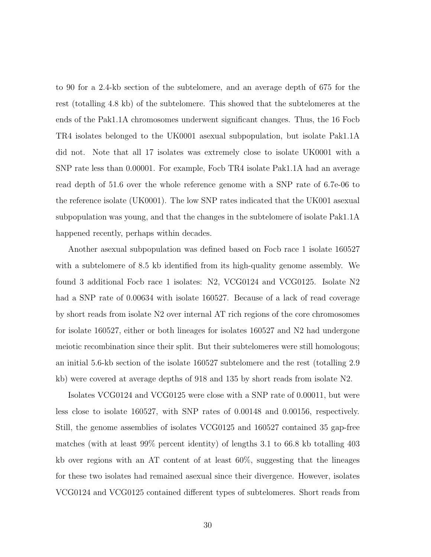to 90 for a 2.4-kb section of the subtelomere, and an average depth of 675 for the rest (totalling 4.8 kb) of the subtelomere. This showed that the subtelomeres at the ends of the Pak1.1A chromosomes underwent significant changes. Thus, the 16 Focb TR4 isolates belonged to the UK0001 asexual subpopulation, but isolate Pak1.1A did not. Note that all 17 isolates was extremely close to isolate UK0001 with a SNP rate less than 0.00001. For example, Focb TR4 isolate Pak1.1A had an average read depth of 51.6 over the whole reference genome with a SNP rate of 6.7e-06 to the reference isolate (UK0001). The low SNP rates indicated that the UK001 asexual subpopulation was young, and that the changes in the subtelomere of isolate Pak1.1A happened recently, perhaps within decades.

Another asexual subpopulation was defined based on Focb race 1 isolate 160527 with a subtelomere of 8.5 kb identified from its high-quality genome assembly. We found 3 additional Focb race 1 isolates: N2, VCG0124 and VCG0125. Isolate N2 had a SNP rate of 0.00634 with isolate 160527. Because of a lack of read coverage by short reads from isolate N2 over internal AT rich regions of the core chromosomes for isolate 160527, either or both lineages for isolates 160527 and N2 had undergone meiotic recombination since their split. But their subtelomeres were still homologous; an initial 5.6-kb section of the isolate 160527 subtelomere and the rest (totalling 2.9 kb) were covered at average depths of 918 and 135 by short reads from isolate N2.

Isolates VCG0124 and VCG0125 were close with a SNP rate of 0.00011, but were less close to isolate 160527, with SNP rates of 0.00148 and 0.00156, respectively. Still, the genome assemblies of isolates VCG0125 and 160527 contained 35 gap-free matches (with at least 99% percent identity) of lengths 3.1 to 66.8 kb totalling 403 kb over regions with an AT content of at least 60%, suggesting that the lineages for these two isolates had remained asexual since their divergence. However, isolates VCG0124 and VCG0125 contained different types of subtelomeres. Short reads from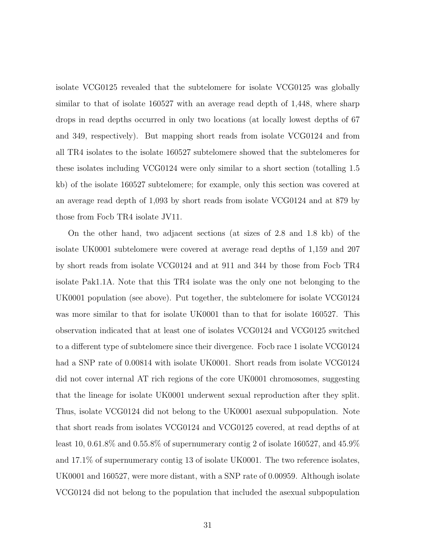isolate VCG0125 revealed that the subtelomere for isolate VCG0125 was globally similar to that of isolate 160527 with an average read depth of 1,448, where sharp drops in read depths occurred in only two locations (at locally lowest depths of 67 and 349, respectively). But mapping short reads from isolate VCG0124 and from all TR4 isolates to the isolate 160527 subtelomere showed that the subtelomeres for these isolates including VCG0124 were only similar to a short section (totalling 1.5 kb) of the isolate 160527 subtelomere; for example, only this section was covered at an average read depth of 1,093 by short reads from isolate VCG0124 and at 879 by those from Focb TR4 isolate JV11.

On the other hand, two adjacent sections (at sizes of 2.8 and 1.8 kb) of the isolate UK0001 subtelomere were covered at average read depths of 1,159 and 207 by short reads from isolate VCG0124 and at 911 and 344 by those from Focb TR4 isolate Pak1.1A. Note that this TR4 isolate was the only one not belonging to the UK0001 population (see above). Put together, the subtelomere for isolate VCG0124 was more similar to that for isolate UK0001 than to that for isolate 160527. This observation indicated that at least one of isolates VCG0124 and VCG0125 switched to a different type of subtelomere since their divergence. Focb race 1 isolate VCG0124 had a SNP rate of 0.00814 with isolate UK0001. Short reads from isolate VCG0124 did not cover internal AT rich regions of the core UK0001 chromosomes, suggesting that the lineage for isolate UK0001 underwent sexual reproduction after they split. Thus, isolate VCG0124 did not belong to the UK0001 asexual subpopulation. Note that short reads from isolates VCG0124 and VCG0125 covered, at read depths of at least 10, 0.61.8% and 0.55.8% of supernumerary contig 2 of isolate 160527, and 45.9% and 17.1% of supernumerary contig 13 of isolate UK0001. The two reference isolates, UK0001 and 160527, were more distant, with a SNP rate of 0.00959. Although isolate VCG0124 did not belong to the population that included the asexual subpopulation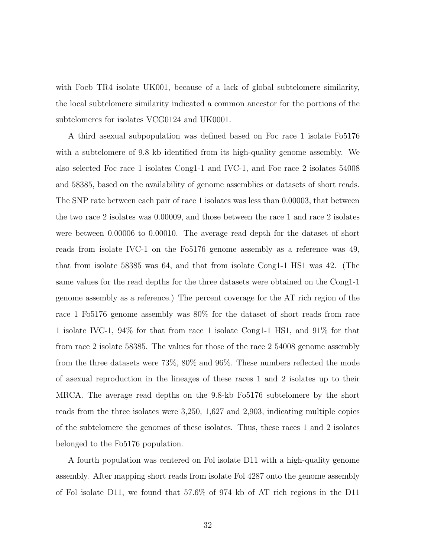with Focb TR4 isolate UK001, because of a lack of global subtelomere similarity, the local subtelomere similarity indicated a common ancestor for the portions of the subtelomeres for isolates VCG0124 and UK0001.

A third asexual subpopulation was defined based on Foc race 1 isolate Fo5176 with a subtelomere of 9.8 kb identified from its high-quality genome assembly. We also selected Foc race 1 isolates Cong1-1 and IVC-1, and Foc race 2 isolates 54008 and 58385, based on the availability of genome assemblies or datasets of short reads. The SNP rate between each pair of race 1 isolates was less than 0.00003, that between the two race 2 isolates was 0.00009, and those between the race 1 and race 2 isolates were between 0.00006 to 0.00010. The average read depth for the dataset of short reads from isolate IVC-1 on the Fo5176 genome assembly as a reference was 49, that from isolate 58385 was 64, and that from isolate Cong1-1 HS1 was 42. (The same values for the read depths for the three datasets were obtained on the Cong1-1 genome assembly as a reference.) The percent coverage for the AT rich region of the race 1 Fo5176 genome assembly was 80% for the dataset of short reads from race 1 isolate IVC-1, 94% for that from race 1 isolate Cong1-1 HS1, and 91% for that from race 2 isolate 58385. The values for those of the race 2 54008 genome assembly from the three datasets were 73%, 80% and 96%. These numbers reflected the mode of asexual reproduction in the lineages of these races 1 and 2 isolates up to their MRCA. The average read depths on the 9.8-kb Fo5176 subtelomere by the short reads from the three isolates were 3,250, 1,627 and 2,903, indicating multiple copies of the subtelomere the genomes of these isolates. Thus, these races 1 and 2 isolates belonged to the Fo5176 population.

A fourth population was centered on Fol isolate D11 with a high-quality genome assembly. After mapping short reads from isolate Fol 4287 onto the genome assembly of Fol isolate D11, we found that 57.6% of 974 kb of AT rich regions in the D11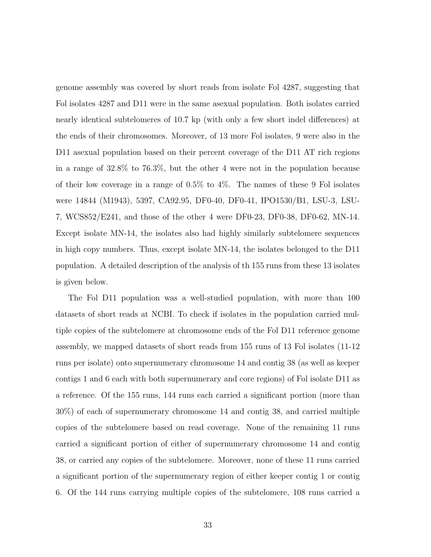genome assembly was covered by short reads from isolate Fol 4287, suggesting that Fol isolates 4287 and D11 were in the same asexual population. Both isolates carried nearly identical subtelomeres of 10.7 kp (with only a few short indel differences) at the ends of their chromosomes. Moreover, of 13 more Fol isolates, 9 were also in the D11 asexual population based on their percent coverage of the D11 AT rich regions in a range of 32.8% to 76.3%, but the other 4 were not in the population because of their low coverage in a range of 0.5% to 4%. The names of these 9 Fol isolates were 14844 (M1943), 5397, CA92.95, DF0-40, DF0-41, IPO1530/B1, LSU-3, LSU-7, WCS852/E241, and those of the other 4 were DF0-23, DF0-38, DF0-62, MN-14. Except isolate MN-14, the isolates also had highly similarly subtelomere sequences in high copy numbers. Thus, except isolate MN-14, the isolates belonged to the D11 population. A detailed description of the analysis of th 155 runs from these 13 isolates is given below.

The Fol D11 population was a well-studied population, with more than 100 datasets of short reads at NCBI. To check if isolates in the population carried multiple copies of the subtelomere at chromosome ends of the Fol D11 reference genome assembly, we mapped datasets of short reads from 155 runs of 13 Fol isolates (11-12 runs per isolate) onto supernumerary chromosome 14 and contig 38 (as well as keeper contigs 1 and 6 each with both supernumerary and core regions) of Fol isolate D11 as a reference. Of the 155 runs, 144 runs each carried a significant portion (more than 30%) of each of supernumerary chromosome 14 and contig 38, and carried multiple copies of the subtelomere based on read coverage. None of the remaining 11 runs carried a significant portion of either of supernumerary chromosome 14 and contig 38, or carried any copies of the subtelomere. Moreover, none of these 11 runs carried a significant portion of the supernumerary region of either keeper contig 1 or contig 6. Of the 144 runs carrying multiple copies of the subtelomere, 108 runs carried a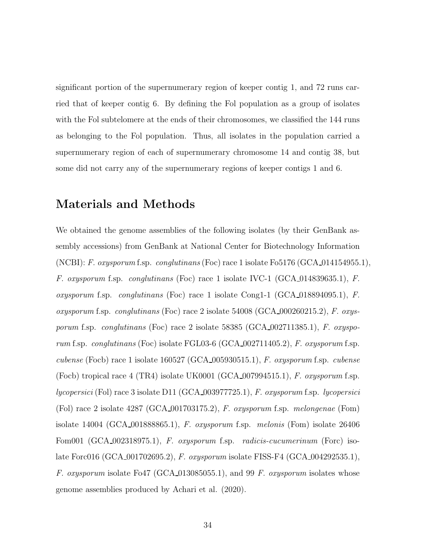significant portion of the supernumerary region of keeper contig 1, and 72 runs carried that of keeper contig 6. By defining the Fol population as a group of isolates with the Fol subtelomere at the ends of their chromosomes, we classified the 144 runs as belonging to the Fol population. Thus, all isolates in the population carried a supernumerary region of each of supernumerary chromosome 14 and contig 38, but some did not carry any of the supernumerary regions of keeper contigs 1 and 6.

### Materials and Methods

We obtained the genome assemblies of the following isolates (by their GenBank assembly accessions) from GenBank at National Center for Biotechnology Information (NCBI): *F. oxysporum* f.sp. *conglutinans* (Foc) race 1 isolate Fo5176 (GCA 014154955.1), *F. oxysporum* f.sp. *conglutinans* (Foc) race 1 isolate IVC-1 (GCA 014839635.1), *F. oxysporum* f.sp. *conglutinans* (Foc) race 1 isolate Cong1-1 (GCA 018894095.1), *F. oxysporum* f.sp. *conglutinans* (Foc) race 2 isolate 54008 (GCA 000260215.2), *F. oxysporum* f.sp. *conglutinans* (Foc) race 2 isolate 58385 (GCA 002711385.1), *F. oxysporum* f.sp. *conglutinans* (Foc) isolate FGL03-6 (GCA 002711405.2), *F. oxysporum* f.sp. *cubense* (Focb) race 1 isolate 160527 (GCA 005930515.1), *F. oxysporum* f.sp. *cubense* (Focb) tropical race 4 (TR4) isolate UK0001 (GCA 007994515.1), *F. oxysporum* f.sp. *lycopersici* (Fol) race 3 isolate D11 (GCA 003977725.1), *F. oxysporum* f.sp. *lycopersici* (Fol) race 2 isolate 4287 (GCA 001703175.2), *F. oxysporum* f.sp. *melongenae* (Fom) isolate 14004 (GCA 001888865.1), *F. oxysporum* f.sp. *melonis* (Fom) isolate 26406 Fom001 (GCA 002318975.1), *F. oxysporum* f.sp. *radicis-cucumerinum* (Forc) isolate Forc016 (GCA 001702695.2), *F. oxysporum* isolate FISS-F4 (GCA 004292535.1), *F. oxysporum* isolate Fo47 (GCA 013085055.1), and 99 *F. oxysporum* isolates whose genome assemblies produced by Achari et al. (2020).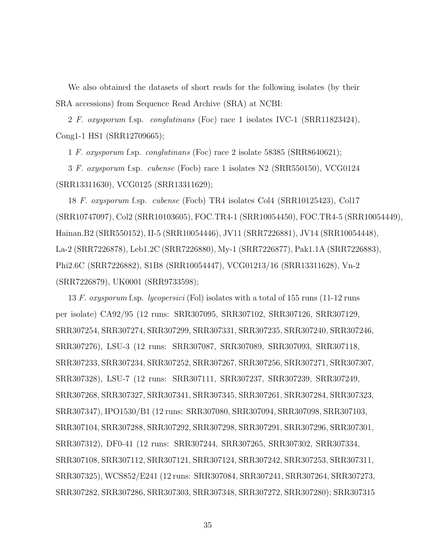We also obtained the datasets of short reads for the following isolates (by their SRA accessions) from Sequence Read Archive (SRA) at NCBI:

2 *F. oxysporum* f.sp. *conglutinans* (Foc) race 1 isolates IVC-1 (SRR11823424), Cong1-1 HS1 (SRR12709665);

1 *F. oxysporum* f.sp. *conglutinans* (Foc) race 2 isolate 58385 (SRR8640621);

3 *F. oxysporum* f.sp. *cubense* (Focb) race 1 isolates N2 (SRR550150), VCG0124 (SRR13311630), VCG0125 (SRR13311629);

18 *F. oxysporum* f.sp. *cubense* (Focb) TR4 isolates Col4 (SRR10125423), Col17 (SRR10747097), Col2 (SRR10103605), FOC.TR4-1 (SRR10054450), FOC.TR4-5 (SRR10054449), Hainan.B2 (SRR550152), II-5 (SRR10054446), JV11 (SRR7226881), JV14 (SRR10054448), La-2 (SRR7226878), Leb1.2C (SRR7226880), My-1 (SRR7226877), Pak1.1A (SRR7226883), Phi2.6C (SRR7226882), S1B8 (SRR10054447), VCG01213/16 (SRR13311628), Vn-2 (SRR7226879), UK0001 (SRR9733598);

13 *F. oxysporum* f.sp. *lycopersici* (Fol) isolates with a total of 155 runs (11-12 runs per isolate) CA92/95 (12 runs: SRR307095, SRR307102, SRR307126, SRR307129, SRR307254, SRR307274, SRR307299, SRR307331, SRR307235, SRR307240, SRR307246, SRR307276), LSU-3 (12 runs: SRR307087, SRR307089, SRR307093, SRR307118, SRR307233, SRR307234, SRR307252, SRR307267, SRR307256, SRR307271, SRR307307, SRR307328), LSU-7 (12 runs: SRR307111, SRR307237, SRR307239, SRR307249, SRR307268, SRR307327, SRR307341, SRR307345, SRR307261, SRR307284, SRR307323, SRR307347), IPO1530/B1 (12 runs: SRR307080, SRR307094, SRR307098, SRR307103, SRR307104, SRR307288, SRR307292, SRR307298, SRR307291, SRR307296, SRR307301, SRR307312), DF0-41 (12 runs: SRR307244, SRR307265, SRR307302, SRR307334, SRR307108, SRR307112, SRR307121, SRR307124, SRR307242, SRR307253, SRR307311, SRR307325), WCS852/E241 (12 runs: SRR307084, SRR307241, SRR307264, SRR307273, SRR307282, SRR307286, SRR307303, SRR307348, SRR307272, SRR307280); SRR307315

35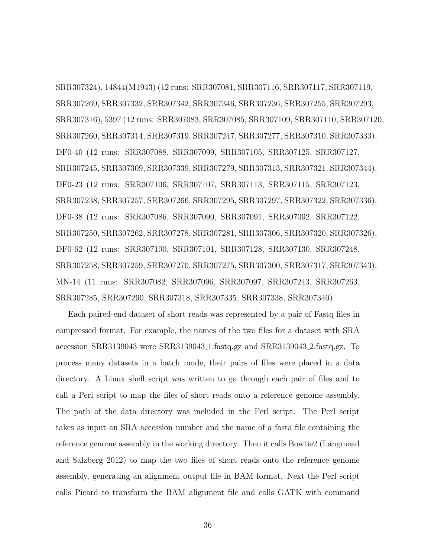SRR307324), 14844(M1943) (12 runs: SRR307081, SRR307116, SRR307117, SRR307119, SRR307269, SRR307332, SRR307342, SRR307346, SRR307236, SRR307255, SRR307293, SRR307316), 5397 (12 runs: SRR307083, SRR307085, SRR307109, SRR307110, SRR307120, SRR307260, SRR307314, SRR307319, SRR307247, SRR307277, SRR307310, SRR307333), DF0-40 (12 runs: SRR307088, SRR307099, SRR307105, SRR307125, SRR307127, SRR307245, SRR307309, SRR307339, SRR307279, SRR307313, SRR307321, SRR307344), DF0-23 (12 runs: SRR307106, SRR307107, SRR307113, SRR307115, SRR307123, SRR307238, SRR307257, SRR307266, SRR307295, SRR307297, SRR307322, SRR307336), DF0-38 (12 runs: SRR307086, SRR307090, SRR307091, SRR307092, SRR307122, SRR307250, SRR307262, SRR307278, SRR307281, SRR307306, SRR307320, SRR307326), DF0-62 (12 runs: SRR307100, SRR307101, SRR307128, SRR307130, SRR307248, SRR307258, SRR307259, SRR307270, SRR307275, SRR307300, SRR307317, SRR307343), MN-14 (11 runs: SRR307082, SRR307096, SRR307097, SRR307243, SRR307263, SRR307285, SRR307290, SRR307318, SRR307335, SRR307338, SRR307340).

Each paired-end dataset of short reads was represented by a pair of Fastq files in compressed format. For example, the names of the two files for a dataset with SRA accession SRR3139043 were SRR3139043 1.fastq.gz and SRR3139043 2.fastq.gz. To process many datasets in a batch mode, their pairs of files were placed in a data directory. A Linux shell script was written to go through each pair of files and to call a Perl script to map the files of short reads onto a reference genome assembly. The path of the data directory was included in the Perl script. The Perl script takes as input an SRA accession number and the name of a fasta file containing the reference genome assembly in the working directory. Then it calls Bowtie2 (Langmead and Salzberg 2012) to map the two files of short reads onto the reference genome assembly, generating an alignment output file in BAM format. Next the Perl script calls Picard to transform the BAM alignment file and calls GATK with command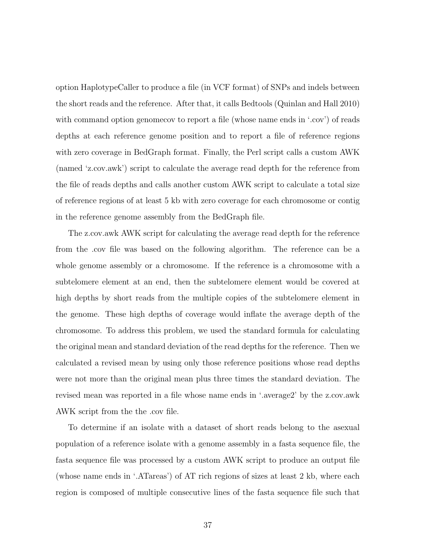option HaplotypeCaller to produce a file (in VCF format) of SNPs and indels between the short reads and the reference. After that, it calls Bedtools (Quinlan and Hall 2010) with command option genomecov to report a file (whose name ends in '.cov') of reads depths at each reference genome position and to report a file of reference regions with zero coverage in BedGraph format. Finally, the Perl script calls a custom AWK (named 'z.cov.awk') script to calculate the average read depth for the reference from the file of reads depths and calls another custom AWK script to calculate a total size of reference regions of at least 5 kb with zero coverage for each chromosome or contig in the reference genome assembly from the BedGraph file.

The z.cov.awk AWK script for calculating the average read depth for the reference from the .cov file was based on the following algorithm. The reference can be a whole genome assembly or a chromosome. If the reference is a chromosome with a subtelomere element at an end, then the subtelomere element would be covered at high depths by short reads from the multiple copies of the subtelomere element in the genome. These high depths of coverage would inflate the average depth of the chromosome. To address this problem, we used the standard formula for calculating the original mean and standard deviation of the read depths for the reference. Then we calculated a revised mean by using only those reference positions whose read depths were not more than the original mean plus three times the standard deviation. The revised mean was reported in a file whose name ends in '.average2' by the z.cov.awk AWK script from the the .cov file.

To determine if an isolate with a dataset of short reads belong to the asexual population of a reference isolate with a genome assembly in a fasta sequence file, the fasta sequence file was processed by a custom AWK script to produce an output file (whose name ends in '.ATareas') of AT rich regions of sizes at least 2 kb, where each region is composed of multiple consecutive lines of the fasta sequence file such that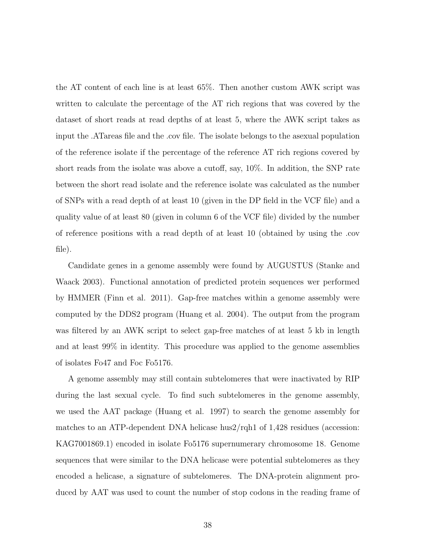the AT content of each line is at least 65%. Then another custom AWK script was written to calculate the percentage of the AT rich regions that was covered by the dataset of short reads at read depths of at least 5, where the AWK script takes as input the .ATareas file and the .cov file. The isolate belongs to the asexual population of the reference isolate if the percentage of the reference AT rich regions covered by short reads from the isolate was above a cutoff, say, 10%. In addition, the SNP rate between the short read isolate and the reference isolate was calculated as the number of SNPs with a read depth of at least 10 (given in the DP field in the VCF file) and a quality value of at least 80 (given in column 6 of the VCF file) divided by the number of reference positions with a read depth of at least 10 (obtained by using the .cov file).

Candidate genes in a genome assembly were found by AUGUSTUS (Stanke and Waack 2003). Functional annotation of predicted protein sequences wer performed by HMMER (Finn et al. 2011). Gap-free matches within a genome assembly were computed by the DDS2 program (Huang et al. 2004). The output from the program was filtered by an AWK script to select gap-free matches of at least 5 kb in length and at least 99% in identity. This procedure was applied to the genome assemblies of isolates Fo47 and Foc Fo5176.

A genome assembly may still contain subtelomeres that were inactivated by RIP during the last sexual cycle. To find such subtelomeres in the genome assembly, we used the AAT package (Huang et al. 1997) to search the genome assembly for matches to an ATP-dependent DNA helicase hus2/rqh1 of 1,428 residues (accession: KAG7001869.1) encoded in isolate Fo5176 supernumerary chromosome 18. Genome sequences that were similar to the DNA helicase were potential subtelomeres as they encoded a helicase, a signature of subtelomeres. The DNA-protein alignment produced by AAT was used to count the number of stop codons in the reading frame of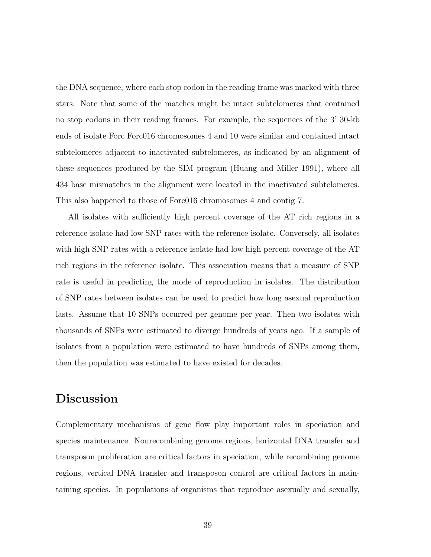the DNA sequence, where each stop codon in the reading frame was marked with three stars. Note that some of the matches might be intact subtelomeres that contained no stop codons in their reading frames. For example, the sequences of the 3' 30-kb ends of isolate Forc Forc016 chromosomes 4 and 10 were similar and contained intact subtelomeres adjacent to inactivated subtelomeres, as indicated by an alignment of these sequences produced by the SIM program (Huang and Miller 1991), where all 434 base mismatches in the alignment were located in the inactivated subtelomeres. This also happened to those of Forc016 chromosomes 4 and contig 7.

All isolates with sufficiently high percent coverage of the AT rich regions in a reference isolate had low SNP rates with the reference isolate. Conversely, all isolates with high SNP rates with a reference isolate had low high percent coverage of the AT rich regions in the reference isolate. This association means that a measure of SNP rate is useful in predicting the mode of reproduction in isolates. The distribution of SNP rates between isolates can be used to predict how long asexual reproduction lasts. Assume that 10 SNPs occurred per genome per year. Then two isolates with thousands of SNPs were estimated to diverge hundreds of years ago. If a sample of isolates from a population were estimated to have hundreds of SNPs among them, then the population was estimated to have existed for decades.

# Discussion

Complementary mechanisms of gene flow play important roles in speciation and species maintenance. Nonrecombining genome regions, horizontal DNA transfer and transposon proliferation are critical factors in speciation, while recombining genome regions, vertical DNA transfer and transposon control are critical factors in maintaining species. In populations of organisms that reproduce asexually and sexually,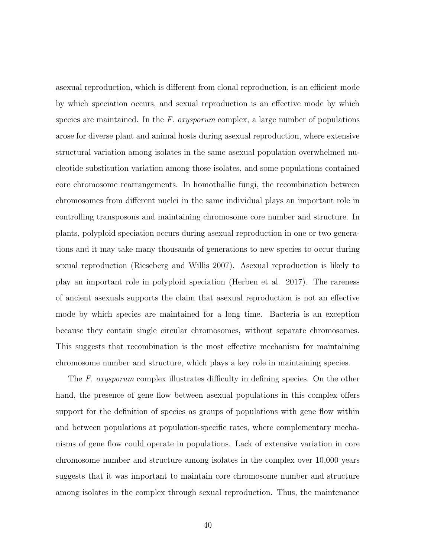asexual reproduction, which is different from clonal reproduction, is an efficient mode by which speciation occurs, and sexual reproduction is an effective mode by which species are maintained. In the *F. oxysporum* complex, a large number of populations arose for diverse plant and animal hosts during asexual reproduction, where extensive structural variation among isolates in the same asexual population overwhelmed nucleotide substitution variation among those isolates, and some populations contained core chromosome rearrangements. In homothallic fungi, the recombination between chromosomes from different nuclei in the same individual plays an important role in controlling transposons and maintaining chromosome core number and structure. In plants, polyploid speciation occurs during asexual reproduction in one or two generations and it may take many thousands of generations to new species to occur during sexual reproduction (Rieseberg and Willis 2007). Asexual reproduction is likely to play an important role in polyploid speciation (Herben et al. 2017). The rareness of ancient asexuals supports the claim that asexual reproduction is not an effective mode by which species are maintained for a long time. Bacteria is an exception because they contain single circular chromosomes, without separate chromosomes. This suggests that recombination is the most effective mechanism for maintaining chromosome number and structure, which plays a key role in maintaining species.

The *F. oxysporum* complex illustrates difficulty in defining species. On the other hand, the presence of gene flow between asexual populations in this complex offers support for the definition of species as groups of populations with gene flow within and between populations at population-specific rates, where complementary mechanisms of gene flow could operate in populations. Lack of extensive variation in core chromosome number and structure among isolates in the complex over 10,000 years suggests that it was important to maintain core chromosome number and structure among isolates in the complex through sexual reproduction. Thus, the maintenance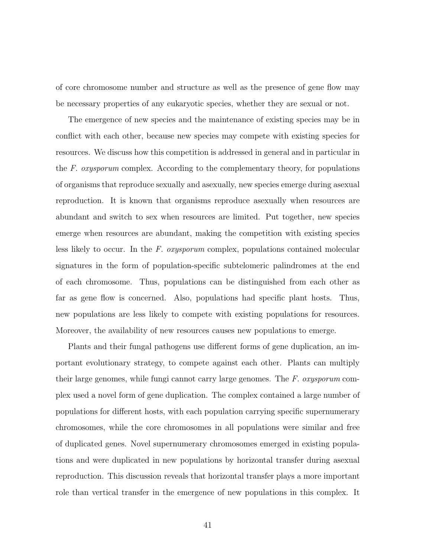of core chromosome number and structure as well as the presence of gene flow may be necessary properties of any eukaryotic species, whether they are sexual or not.

The emergence of new species and the maintenance of existing species may be in conflict with each other, because new species may compete with existing species for resources. We discuss how this competition is addressed in general and in particular in the *F. oxysporum* complex. According to the complementary theory, for populations of organisms that reproduce sexually and asexually, new species emerge during asexual reproduction. It is known that organisms reproduce asexually when resources are abundant and switch to sex when resources are limited. Put together, new species emerge when resources are abundant, making the competition with existing species less likely to occur. In the *F. oxysporum* complex, populations contained molecular signatures in the form of population-specific subtelomeric palindromes at the end of each chromosome. Thus, populations can be distinguished from each other as far as gene flow is concerned. Also, populations had specific plant hosts. Thus, new populations are less likely to compete with existing populations for resources. Moreover, the availability of new resources causes new populations to emerge.

Plants and their fungal pathogens use different forms of gene duplication, an important evolutionary strategy, to compete against each other. Plants can multiply their large genomes, while fungi cannot carry large genomes. The *F. oxysporum* complex used a novel form of gene duplication. The complex contained a large number of populations for different hosts, with each population carrying specific supernumerary chromosomes, while the core chromosomes in all populations were similar and free of duplicated genes. Novel supernumerary chromosomes emerged in existing populations and were duplicated in new populations by horizontal transfer during asexual reproduction. This discussion reveals that horizontal transfer plays a more important role than vertical transfer in the emergence of new populations in this complex. It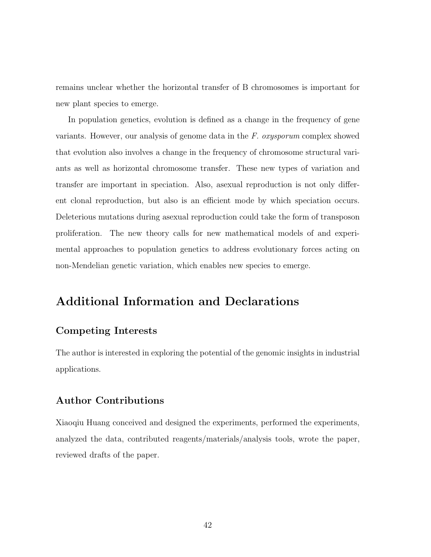remains unclear whether the horizontal transfer of B chromosomes is important for new plant species to emerge.

In population genetics, evolution is defined as a change in the frequency of gene variants. However, our analysis of genome data in the *F. oxysporum* complex showed that evolution also involves a change in the frequency of chromosome structural variants as well as horizontal chromosome transfer. These new types of variation and transfer are important in speciation. Also, asexual reproduction is not only different clonal reproduction, but also is an efficient mode by which speciation occurs. Deleterious mutations during asexual reproduction could take the form of transposon proliferation. The new theory calls for new mathematical models of and experimental approaches to population genetics to address evolutionary forces acting on non-Mendelian genetic variation, which enables new species to emerge.

# Additional Information and Declarations

#### Competing Interests

The author is interested in exploring the potential of the genomic insights in industrial applications.

#### Author Contributions

Xiaoqiu Huang conceived and designed the experiments, performed the experiments, analyzed the data, contributed reagents/materials/analysis tools, wrote the paper, reviewed drafts of the paper.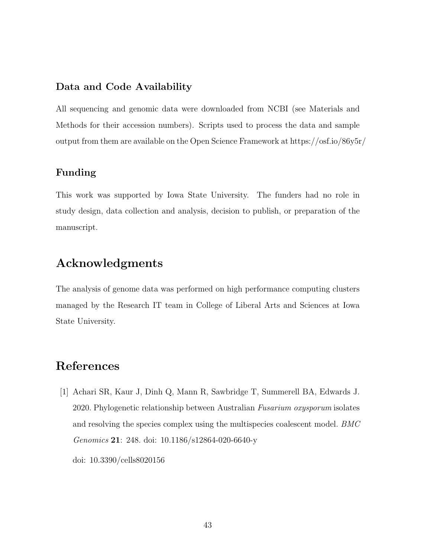#### Data and Code Availability

All sequencing and genomic data were downloaded from NCBI (see Materials and Methods for their accession numbers). Scripts used to process the data and sample output from them are available on the Open Science Framework at https://osf.io/86y5r/

#### Funding

This work was supported by Iowa State University. The funders had no role in study design, data collection and analysis, decision to publish, or preparation of the manuscript.

### Acknowledgments

The analysis of genome data was performed on high performance computing clusters managed by the Research IT team in College of Liberal Arts and Sciences at Iowa State University.

### References

[1] Achari SR, Kaur J, Dinh Q, Mann R, Sawbridge T, Summerell BA, Edwards J. 2020. Phylogenetic relationship between Australian *Fusarium oxysporum* isolates and resolving the species complex using the multispecies coalescent model. *BMC Genomics* 21: 248. doi: 10.1186/s12864-020-6640-y doi: 10.3390/cells8020156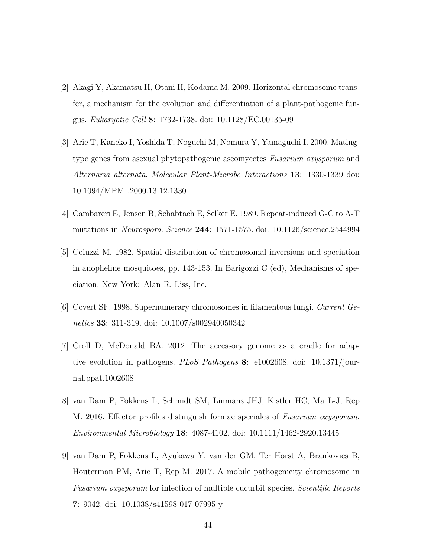- [2] Akagi Y, Akamatsu H, Otani H, Kodama M. 2009. Horizontal chromosome transfer, a mechanism for the evolution and differentiation of a plant-pathogenic fungus. *Eukaryotic Cell* 8: 1732-1738. doi: 10.1128/EC.00135-09
- [3] Arie T, Kaneko I, Yoshida T, Noguchi M, Nomura Y, Yamaguchi I. 2000. Matingtype genes from asexual phytopathogenic ascomycetes *Fusarium oxysporum* and *Alternaria alternata*. *Molecular Plant-Microbe Interactions* 13: 1330-1339 doi: 10.1094/MPMI.2000.13.12.1330
- [4] Cambareri E, Jensen B, Schabtach E, Selker E. 1989. Repeat-induced G-C to A-T mutations in *Neurospora*. *Science* 244: 1571-1575. doi: 10.1126/science.2544994
- [5] Coluzzi M. 1982. Spatial distribution of chromosomal inversions and speciation in anopheline mosquitoes, pp. 143-153. In Barigozzi C (ed), Mechanisms of speciation. New York: Alan R. Liss, Inc.
- [6] Covert SF. 1998. Supernumerary chromosomes in filamentous fungi. *Current Genetics* 33: 311-319. doi: 10.1007/s002940050342
- [7] Croll D, McDonald BA. 2012. The accessory genome as a cradle for adaptive evolution in pathogens. *PLoS Pathogens* 8: e1002608. doi: 10.1371/journal.ppat.1002608
- [8] van Dam P, Fokkens L, Schmidt SM, Linmans JHJ, Kistler HC, Ma L-J, Rep M. 2016. Effector profiles distinguish formae speciales of *Fusarium oxysporum*. *Environmental Microbiology* 18: 4087-4102. doi: 10.1111/1462-2920.13445
- [9] van Dam P, Fokkens L, Ayukawa Y, van der GM, Ter Horst A, Brankovics B, Houterman PM, Arie T, Rep M. 2017. A mobile pathogenicity chromosome in *Fusarium oxysporum* for infection of multiple cucurbit species. *Scientific Reports* 7: 9042. doi: 10.1038/s41598-017-07995-y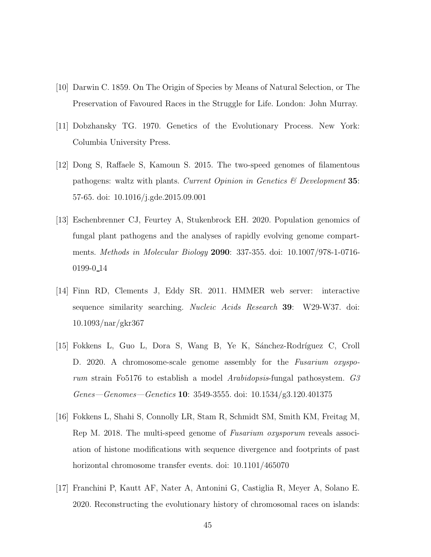- [10] Darwin C. 1859. On The Origin of Species by Means of Natural Selection, or The Preservation of Favoured Races in the Struggle for Life. London: John Murray.
- [11] Dobzhansky TG. 1970. Genetics of the Evolutionary Process. New York: Columbia University Press.
- [12] Dong S, Raffaele S, Kamoun S. 2015. The two-speed genomes of filamentous pathogens: waltz with plants. *Current Opinion in Genetics & Development* 35: 57-65. doi: 10.1016/j.gde.2015.09.001
- [13] Eschenbrenner CJ, Feurtey A, Stukenbrock EH. 2020. Population genomics of fungal plant pathogens and the analyses of rapidly evolving genome compartments. *Methods in Molecular Biology* 2090: 337-355. doi: 10.1007/978-1-0716- 0199-0 14
- [14] Finn RD, Clements J, Eddy SR. 2011. HMMER web server: interactive sequence similarity searching. *Nucleic Acids Research* 39: W29-W37. doi: 10.1093/nar/gkr367
- [15] Fokkens L, Guo L, Dora S, Wang B, Ye K, Sánchez-Rodríguez C, Croll D. 2020. A chromosome-scale genome assembly for the *Fusarium oxysporum* strain Fo5176 to establish a model *Arabidopsis*-fungal pathosystem. *G3 Genes—Genomes—Genetics* 10: 3549-3555. doi: 10.1534/g3.120.401375
- [16] Fokkens L, Shahi S, Connolly LR, Stam R, Schmidt SM, Smith KM, Freitag M, Rep M. 2018. The multi-speed genome of *Fusarium oxysporum* reveals association of histone modifications with sequence divergence and footprints of past horizontal chromosome transfer events. doi: 10.1101/465070
- [17] Franchini P, Kautt AF, Nater A, Antonini G, Castiglia R, Meyer A, Solano E. 2020. Reconstructing the evolutionary history of chromosomal races on islands: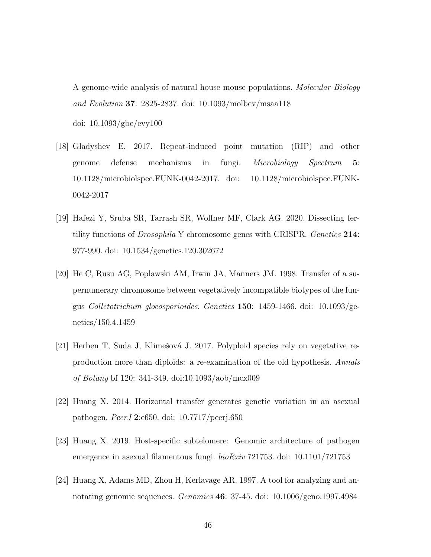A genome-wide analysis of natural house mouse populations. *Molecular Biology and Evolution* 37: 2825-2837. doi: 10.1093/molbev/msaa118 doi: 10.1093/gbe/evy100

- [18] Gladyshev E. 2017. Repeat-induced point mutation (RIP) and other genome defense mechanisms in fungi. *Microbiology Spectrum* 5: 10.1128/microbiolspec.FUNK-0042-2017. doi: 10.1128/microbiolspec.FUNK-0042-2017
- [19] Hafezi Y, Sruba SR, Tarrash SR, Wolfner MF, Clark AG. 2020. Dissecting fertility functions of *Drosophila* Y chromosome genes with CRISPR. *Genetics* 214: 977-990. doi: 10.1534/genetics.120.302672
- [20] He C, Rusu AG, Poplawski AM, Irwin JA, Manners JM. 1998. Transfer of a supernumerary chromosome between vegetatively incompatible biotypes of the fungus *Colletotrichum gloeosporioides*. *Genetics* 150: 1459-1466. doi: 10.1093/genetics/150.4.1459
- [21] Herben T, Suda J, Klimešová J. 2017. Polyploid species rely on vegetative reproduction more than diploids: a re-examination of the old hypothesis. *Annals of Botany* bf 120: 341-349. doi:10.1093/aob/mcx009
- [22] Huang X. 2014. Horizontal transfer generates genetic variation in an asexual pathogen. *PeerJ* 2:e650. doi: 10.7717/peerj.650
- [23] Huang X. 2019. Host-specific subtelomere: Genomic architecture of pathogen emergence in asexual filamentous fungi. *bioRxiv* 721753. doi: 10.1101/721753
- [24] Huang X, Adams MD, Zhou H, Kerlavage AR. 1997. A tool for analyzing and annotating genomic sequences. *Genomics* 46: 37-45. doi: 10.1006/geno.1997.4984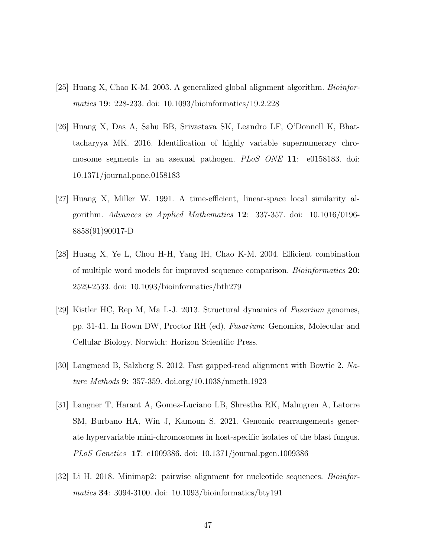- [25] Huang X, Chao K-M. 2003. A generalized global alignment algorithm. *Bioinformatics* 19: 228-233. doi: 10.1093/bioinformatics/19.2.228
- [26] Huang X, Das A, Sahu BB, Srivastava SK, Leandro LF, O'Donnell K, Bhattacharyya MK. 2016. Identification of highly variable supernumerary chromosome segments in an asexual pathogen. *PLoS ONE* 11: e0158183. doi: 10.1371/journal.pone.0158183
- [27] Huang X, Miller W. 1991. A time-efficient, linear-space local similarity algorithm. *Advances in Applied Mathematics* 12: 337-357. doi: 10.1016/0196- 8858(91)90017-D
- [28] Huang X, Ye L, Chou H-H, Yang IH, Chao K-M. 2004. Efficient combination of multiple word models for improved sequence comparison. *Bioinformatics* 20: 2529-2533. doi: 10.1093/bioinformatics/bth279
- [29] Kistler HC, Rep M, Ma L-J. 2013. Structural dynamics of *Fusarium* genomes, pp. 31-41. In Rown DW, Proctor RH (ed), *Fusarium*: Genomics, Molecular and Cellular Biology. Norwich: Horizon Scientific Press.
- [30] Langmead B, Salzberg S. 2012. Fast gapped-read alignment with Bowtie 2. *Nature Methods* 9: 357-359. doi.org/10.1038/nmeth.1923
- [31] Langner T, Harant A, Gomez-Luciano LB, Shrestha RK, Malmgren A, Latorre SM, Burbano HA, Win J, Kamoun S. 2021. Genomic rearrangements generate hypervariable mini-chromosomes in host-specific isolates of the blast fungus. *PLoS Genetics* 17: e1009386. doi: 10.1371/journal.pgen.1009386
- [32] Li H. 2018. Minimap2: pairwise alignment for nucleotide sequences. *Bioinformatics* 34: 3094-3100. doi: 10.1093/bioinformatics/bty191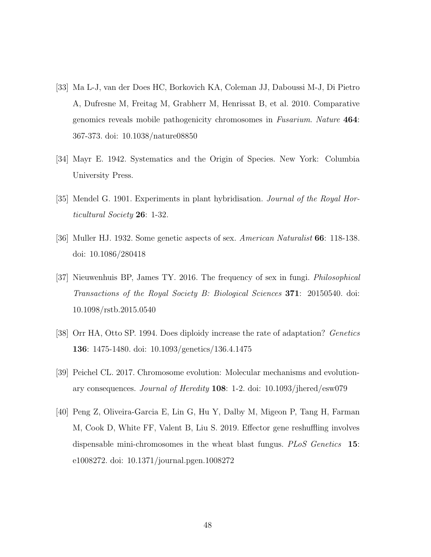- [33] Ma L-J, van der Does HC, Borkovich KA, Coleman JJ, Daboussi M-J, Di Pietro A, Dufresne M, Freitag M, Grabherr M, Henrissat B, et al. 2010. Comparative genomics reveals mobile pathogenicity chromosomes in *Fusarium*. *Nature* 464: 367-373. doi: 10.1038/nature08850
- [34] Mayr E. 1942. Systematics and the Origin of Species. New York: Columbia University Press.
- [35] Mendel G. 1901. Experiments in plant hybridisation. *Journal of the Royal Horticultural Society* 26: 1-32.
- [36] Muller HJ. 1932. Some genetic aspects of sex. *American Naturalist* 66: 118-138. doi: 10.1086/280418
- [37] Nieuwenhuis BP, James TY. 2016. The frequency of sex in fungi. *Philosophical Transactions of the Royal Society B: Biological Sciences* 371: 20150540. doi: 10.1098/rstb.2015.0540
- [38] Orr HA, Otto SP. 1994. Does diploidy increase the rate of adaptation? *Genetics* 136: 1475-1480. doi: 10.1093/genetics/136.4.1475
- [39] Peichel CL. 2017. Chromosome evolution: Molecular mechanisms and evolutionary consequences. *Journal of Heredity* 108: 1-2. doi: 10.1093/jhered/esw079
- [40] Peng Z, Oliveira-Garcia E, Lin G, Hu Y, Dalby M, Migeon P, Tang H, Farman M, Cook D, White FF, Valent B, Liu S. 2019. Effector gene reshuffling involves dispensable mini-chromosomes in the wheat blast fungus. *PLoS Genetics* 15: e1008272. doi: 10.1371/journal.pgen.1008272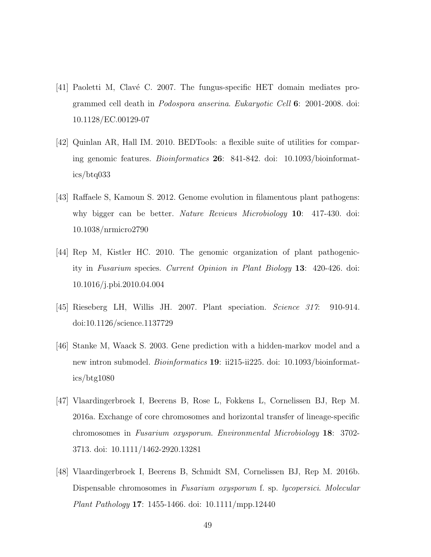- [41] Paoletti M, Clavé C. 2007. The fungus-specific HET domain mediates programmed cell death in *Podospora anserina*. *Eukaryotic Cell* 6: 2001-2008. doi: 10.1128/EC.00129-07
- [42] Quinlan AR, Hall IM. 2010. BEDTools: a flexible suite of utilities for comparing genomic features. *Bioinformatics* 26: 841-842. doi: 10.1093/bioinformatics/btq033
- [43] Raffaele S, Kamoun S. 2012. Genome evolution in filamentous plant pathogens: why bigger can be better. *Nature Reviews Microbiology* 10: 417-430. doi: 10.1038/nrmicro2790
- [44] Rep M, Kistler HC. 2010. The genomic organization of plant pathogenicity in *Fusarium* species. *Current Opinion in Plant Biology* 13: 420-426. doi: 10.1016/j.pbi.2010.04.004
- [45] Rieseberg LH, Willis JH. 2007. Plant speciation. *Science 317*: 910-914. doi:10.1126/science.1137729
- [46] Stanke M, Waack S. 2003. Gene prediction with a hidden-markov model and a new intron submodel. *Bioinformatics* 19: ii215-ii225. doi: 10.1093/bioinformatics/btg1080
- [47] Vlaardingerbroek I, Beerens B, Rose L, Fokkens L, Cornelissen BJ, Rep M. 2016a. Exchange of core chromosomes and horizontal transfer of lineage-specific chromosomes in *Fusarium oxysporum*. *Environmental Microbiology* 18: 3702- 3713. doi: 10.1111/1462-2920.13281
- [48] Vlaardingerbroek I, Beerens B, Schmidt SM, Cornelissen BJ, Rep M. 2016b. Dispensable chromosomes in *Fusarium oxysporum* f. sp. *lycopersici*. *Molecular Plant Pathology* 17: 1455-1466. doi: 10.1111/mpp.12440